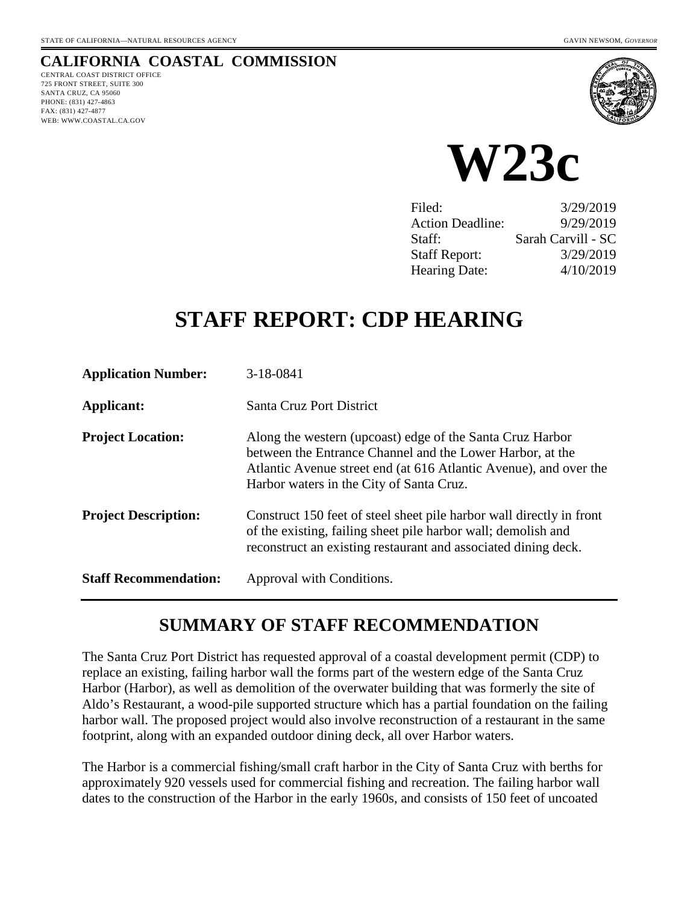### **CALIFORNIA COASTAL COMMISSION**

CENTRAL COAST DISTRICT OFFICE 725 FRONT STREET, SUITE 300 SANTA CRUZ, CA 95060 PHONE: (831) 427-4863 FAX: (831) 427-4877 WEB: WWW.COASTAL.CA.GOV





| Filed:                  | 3/29/2019          |
|-------------------------|--------------------|
| <b>Action Deadline:</b> | 9/29/2019          |
| Staff:                  | Sarah Carvill - SC |
| <b>Staff Report:</b>    | 3/29/2019          |
| <b>Hearing Date:</b>    | 4/10/2019          |

# **STAFF REPORT: CDP HEARING**

| <b>Application Number:</b>   | $3-18-0841$                                                                                                                                                                                                                             |
|------------------------------|-----------------------------------------------------------------------------------------------------------------------------------------------------------------------------------------------------------------------------------------|
| Applicant:                   | Santa Cruz Port District                                                                                                                                                                                                                |
| <b>Project Location:</b>     | Along the western (upcoast) edge of the Santa Cruz Harbor<br>between the Entrance Channel and the Lower Harbor, at the<br>Atlantic Avenue street end (at 616 Atlantic Avenue), and over the<br>Harbor waters in the City of Santa Cruz. |
| <b>Project Description:</b>  | Construct 150 feet of steel sheet pile harbor wall directly in front<br>of the existing, failing sheet pile harbor wall; demolish and<br>reconstruct an existing restaurant and associated dining deck.                                 |
| <b>Staff Recommendation:</b> | Approval with Conditions.                                                                                                                                                                                                               |

# **SUMMARY OF STAFF RECOMMENDATION**

The Santa Cruz Port District has requested approval of a coastal development permit (CDP) to replace an existing, failing harbor wall the forms part of the western edge of the Santa Cruz Harbor (Harbor), as well as demolition of the overwater building that was formerly the site of Aldo's Restaurant, a wood-pile supported structure which has a partial foundation on the failing harbor wall. The proposed project would also involve reconstruction of a restaurant in the same footprint, along with an expanded outdoor dining deck, all over Harbor waters.

The Harbor is a commercial fishing/small craft harbor in the City of Santa Cruz with berths for approximately 920 vessels used for commercial fishing and recreation. The failing harbor wall dates to the construction of the Harbor in the early 1960s, and consists of 150 feet of uncoated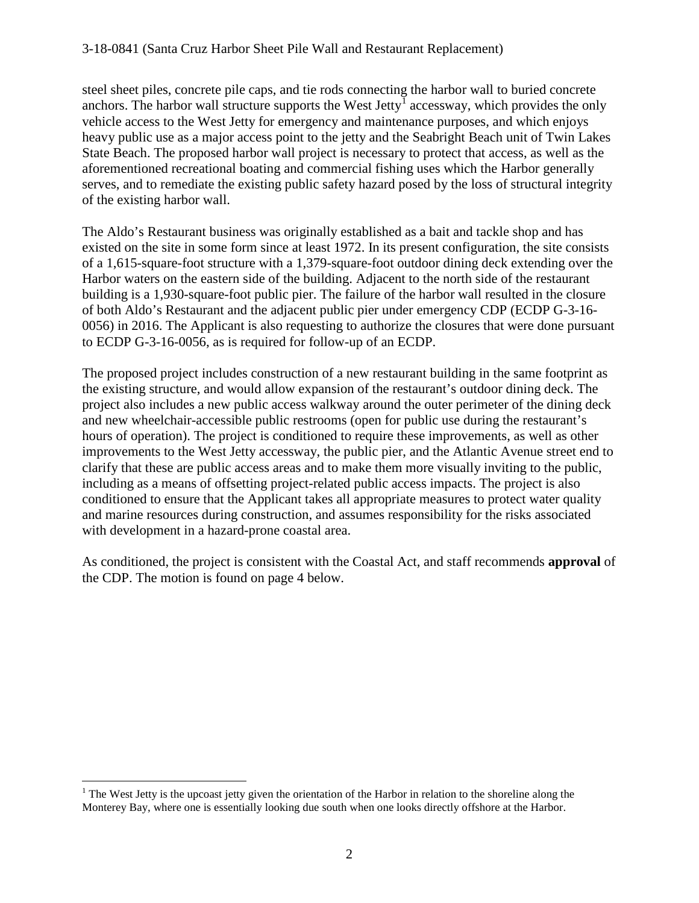steel sheet piles, concrete pile caps, and tie rods connecting the harbor wall to buried concrete anchors. The harbor wall structure supports the West Jetty<sup>[1](#page-1-0)</sup> accessway, which provides the only vehicle access to the West Jetty for emergency and maintenance purposes, and which enjoys heavy public use as a major access point to the jetty and the Seabright Beach unit of Twin Lakes State Beach. The proposed harbor wall project is necessary to protect that access, as well as the aforementioned recreational boating and commercial fishing uses which the Harbor generally serves, and to remediate the existing public safety hazard posed by the loss of structural integrity of the existing harbor wall.

The Aldo's Restaurant business was originally established as a bait and tackle shop and has existed on the site in some form since at least 1972. In its present configuration, the site consists of a 1,615-square-foot structure with a 1,379-square-foot outdoor dining deck extending over the Harbor waters on the eastern side of the building. Adjacent to the north side of the restaurant building is a 1,930-square-foot public pier. The failure of the harbor wall resulted in the closure of both Aldo's Restaurant and the adjacent public pier under emergency CDP (ECDP G-3-16- 0056) in 2016. The Applicant is also requesting to authorize the closures that were done pursuant to ECDP G-3-16-0056, as is required for follow-up of an ECDP.

The proposed project includes construction of a new restaurant building in the same footprint as the existing structure, and would allow expansion of the restaurant's outdoor dining deck. The project also includes a new public access walkway around the outer perimeter of the dining deck and new wheelchair-accessible public restrooms (open for public use during the restaurant's hours of operation). The project is conditioned to require these improvements, as well as other improvements to the West Jetty accessway, the public pier, and the Atlantic Avenue street end to clarify that these are public access areas and to make them more visually inviting to the public, including as a means of offsetting project-related public access impacts. The project is also conditioned to ensure that the Applicant takes all appropriate measures to protect water quality and marine resources during construction, and assumes responsibility for the risks associated with development in a hazard-prone coastal area.

As conditioned, the project is consistent with the Coastal Act, and staff recommends **approval** of the CDP. The motion is found on page 4 below.

<span id="page-1-0"></span> $\overline{a}$ <sup>1</sup> The West Jetty is the upcoast jetty given the orientation of the Harbor in relation to the shoreline along the Monterey Bay, where one is essentially looking due south when one looks directly offshore at the Harbor.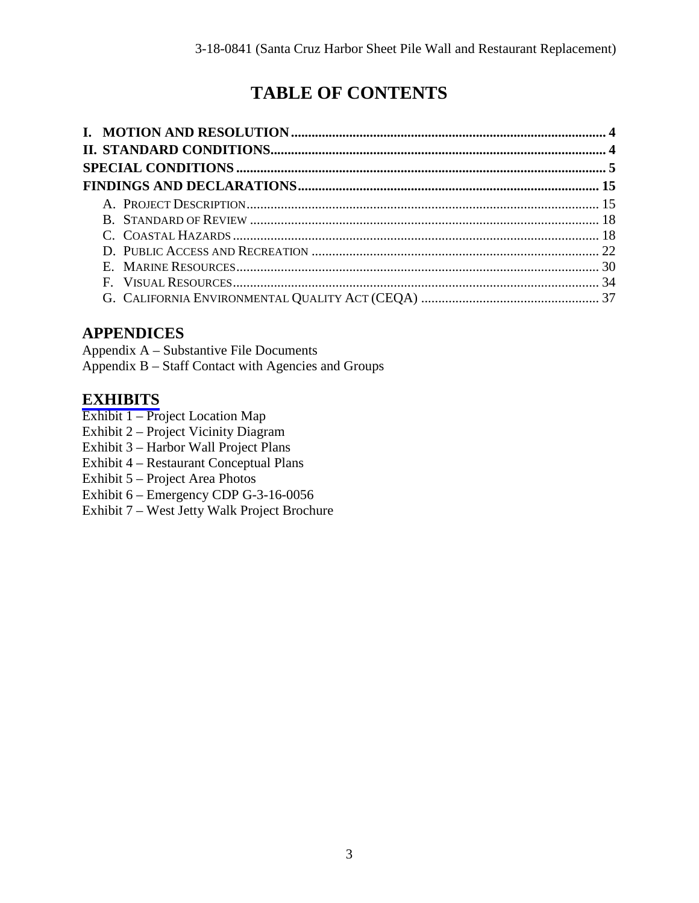# **TABLE OF CONTENTS**

# **APPENDICES**

Appendix A – Substantive File Documents Appendix B – Staff Contact with Agencies and Groups

### **[EXHIBITS](https://documents.coastal.ca.gov/reports/2019/4/w23c/w23c-4-2019-exhibits.pdf)**

- Exhibit 1 Project Location Map
- Exhibit 2 Project Vicinity Diagram
- Exhibit 3 Harbor Wall Project Plans
- Exhibit 4 Restaurant Conceptual Plans
- Exhibit 5 Project Area Photos
- Exhibit 6 Emergency CDP G-3-16-0056
- Exhibit 7 West Jetty Walk Project Brochure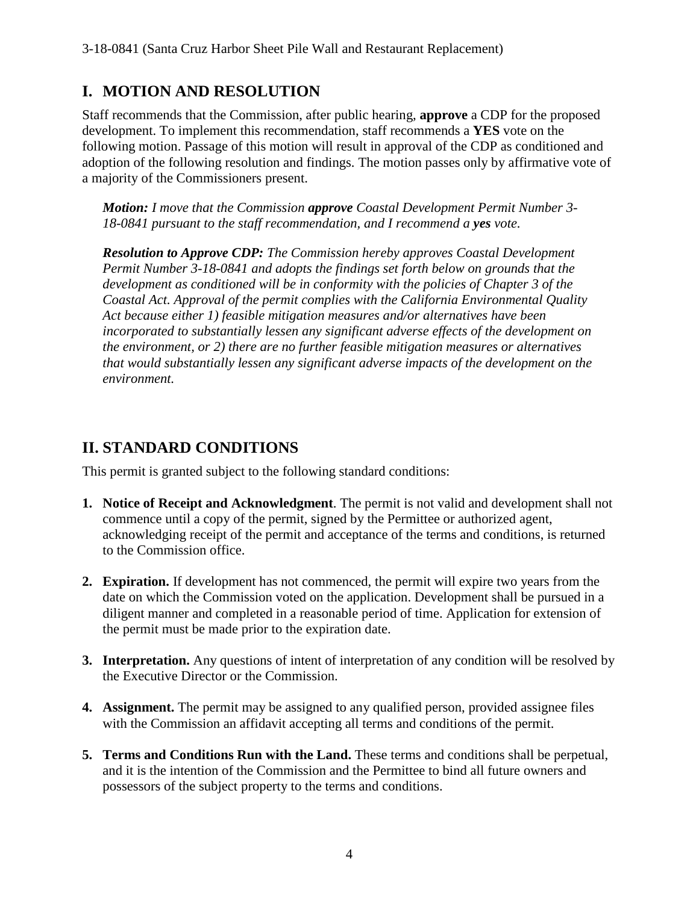# **I. MOTION AND RESOLUTION**

Staff recommends that the Commission, after public hearing, **approve** a CDP for the proposed development. To implement this recommendation, staff recommends a **YES** vote on the following motion. Passage of this motion will result in approval of the CDP as conditioned and adoption of the following resolution and findings. The motion passes only by affirmative vote of a majority of the Commissioners present.

*Motion: I move that the Commission approve Coastal Development Permit Number 3- 18-0841 pursuant to the staff recommendation, and I recommend a yes vote.* 

*Resolution to Approve CDP: The Commission hereby approves Coastal Development Permit Number 3-18-0841 and adopts the findings set forth below on grounds that the development as conditioned will be in conformity with the policies of Chapter 3 of the Coastal Act. Approval of the permit complies with the California Environmental Quality Act because either 1) feasible mitigation measures and/or alternatives have been incorporated to substantially lessen any significant adverse effects of the development on the environment, or 2) there are no further feasible mitigation measures or alternatives that would substantially lessen any significant adverse impacts of the development on the environment.* 

# **II. STANDARD CONDITIONS**

This permit is granted subject to the following standard conditions:

- **1. Notice of Receipt and Acknowledgment**. The permit is not valid and development shall not commence until a copy of the permit, signed by the Permittee or authorized agent, acknowledging receipt of the permit and acceptance of the terms and conditions, is returned to the Commission office.
- **2. Expiration.** If development has not commenced, the permit will expire two years from the date on which the Commission voted on the application. Development shall be pursued in a diligent manner and completed in a reasonable period of time. Application for extension of the permit must be made prior to the expiration date.
- **3. Interpretation.** Any questions of intent of interpretation of any condition will be resolved by the Executive Director or the Commission.
- **4. Assignment.** The permit may be assigned to any qualified person, provided assignee files with the Commission an affidavit accepting all terms and conditions of the permit.
- **5. Terms and Conditions Run with the Land.** These terms and conditions shall be perpetual, and it is the intention of the Commission and the Permittee to bind all future owners and possessors of the subject property to the terms and conditions.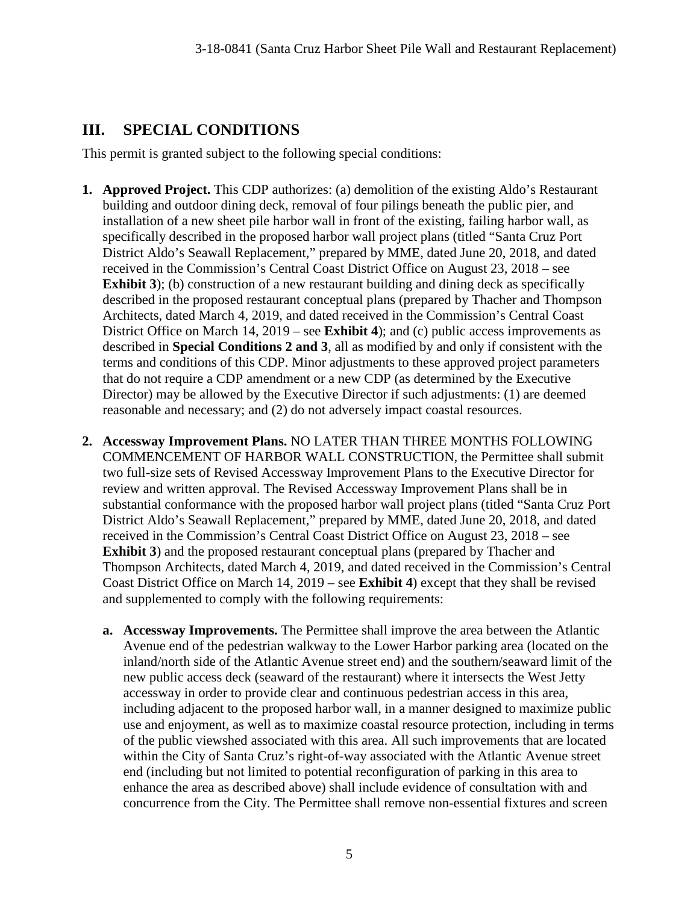### **III. SPECIAL CONDITIONS**

This permit is granted subject to the following special conditions:

- **1. Approved Project.** This CDP authorizes: (a) demolition of the existing Aldo's Restaurant building and outdoor dining deck, removal of four pilings beneath the public pier, and installation of a new sheet pile harbor wall in front of the existing, failing harbor wall, as specifically described in the proposed harbor wall project plans (titled "Santa Cruz Port District Aldo's Seawall Replacement," prepared by MME, dated June 20, 2018, and dated received in the Commission's Central Coast District Office on August 23, 2018 – see **Exhibit 3**); (b) construction of a new restaurant building and dining deck as specifically described in the proposed restaurant conceptual plans (prepared by Thacher and Thompson Architects, dated March 4, 2019, and dated received in the Commission's Central Coast District Office on March 14, 2019 – see **Exhibit 4**); and (c) public access improvements as described in **Special Conditions 2 and 3**, all as modified by and only if consistent with the terms and conditions of this CDP. Minor adjustments to these approved project parameters that do not require a CDP amendment or a new CDP (as determined by the Executive Director) may be allowed by the Executive Director if such adjustments: (1) are deemed reasonable and necessary; and (2) do not adversely impact coastal resources.
- **2. Accessway Improvement Plans.** NO LATER THAN THREE MONTHS FOLLOWING COMMENCEMENT OF HARBOR WALL CONSTRUCTION, the Permittee shall submit two full-size sets of Revised Accessway Improvement Plans to the Executive Director for review and written approval. The Revised Accessway Improvement Plans shall be in substantial conformance with the proposed harbor wall project plans (titled "Santa Cruz Port District Aldo's Seawall Replacement," prepared by MME, dated June 20, 2018, and dated received in the Commission's Central Coast District Office on August 23, 2018 – see **Exhibit 3**) and the proposed restaurant conceptual plans (prepared by Thacher and Thompson Architects, dated March 4, 2019, and dated received in the Commission's Central Coast District Office on March 14, 2019 – see **Exhibit 4**) except that they shall be revised and supplemented to comply with the following requirements:
	- **a. Accessway Improvements.** The Permittee shall improve the area between the Atlantic Avenue end of the pedestrian walkway to the Lower Harbor parking area (located on the inland/north side of the Atlantic Avenue street end) and the southern/seaward limit of the new public access deck (seaward of the restaurant) where it intersects the West Jetty accessway in order to provide clear and continuous pedestrian access in this area, including adjacent to the proposed harbor wall, in a manner designed to maximize public use and enjoyment, as well as to maximize coastal resource protection, including in terms of the public viewshed associated with this area. All such improvements that are located within the City of Santa Cruz's right-of-way associated with the Atlantic Avenue street end (including but not limited to potential reconfiguration of parking in this area to enhance the area as described above) shall include evidence of consultation with and concurrence from the City. The Permittee shall remove non-essential fixtures and screen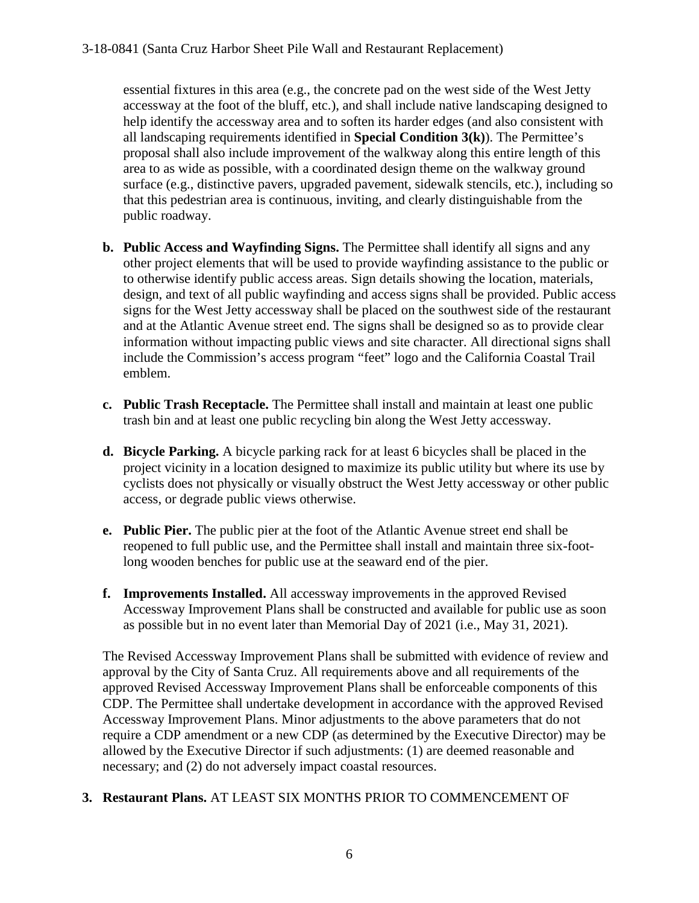essential fixtures in this area (e.g., the concrete pad on the west side of the West Jetty accessway at the foot of the bluff, etc.), and shall include native landscaping designed to help identify the accessway area and to soften its harder edges (and also consistent with all landscaping requirements identified in **Special Condition 3(k)**). The Permittee's proposal shall also include improvement of the walkway along this entire length of this area to as wide as possible, with a coordinated design theme on the walkway ground surface (e.g., distinctive pavers, upgraded pavement, sidewalk stencils, etc.), including so that this pedestrian area is continuous, inviting, and clearly distinguishable from the public roadway.

- **b. Public Access and Wayfinding Signs.** The Permittee shall identify all signs and any other project elements that will be used to provide wayfinding assistance to the public or to otherwise identify public access areas. Sign details showing the location, materials, design, and text of all public wayfinding and access signs shall be provided. Public access signs for the West Jetty accessway shall be placed on the southwest side of the restaurant and at the Atlantic Avenue street end. The signs shall be designed so as to provide clear information without impacting public views and site character. All directional signs shall include the Commission's access program "feet" logo and the California Coastal Trail emblem.
- **c. Public Trash Receptacle.** The Permittee shall install and maintain at least one public trash bin and at least one public recycling bin along the West Jetty accessway.
- **d. Bicycle Parking.** A bicycle parking rack for at least 6 bicycles shall be placed in the project vicinity in a location designed to maximize its public utility but where its use by cyclists does not physically or visually obstruct the West Jetty accessway or other public access, or degrade public views otherwise.
- **e. Public Pier.** The public pier at the foot of the Atlantic Avenue street end shall be reopened to full public use, and the Permittee shall install and maintain three six-footlong wooden benches for public use at the seaward end of the pier.
- **f. Improvements Installed.** All accessway improvements in the approved Revised Accessway Improvement Plans shall be constructed and available for public use as soon as possible but in no event later than Memorial Day of 2021 (i.e., May 31, 2021).

The Revised Accessway Improvement Plans shall be submitted with evidence of review and approval by the City of Santa Cruz. All requirements above and all requirements of the approved Revised Accessway Improvement Plans shall be enforceable components of this CDP. The Permittee shall undertake development in accordance with the approved Revised Accessway Improvement Plans. Minor adjustments to the above parameters that do not require a CDP amendment or a new CDP (as determined by the Executive Director) may be allowed by the Executive Director if such adjustments: (1) are deemed reasonable and necessary; and (2) do not adversely impact coastal resources.

#### **3. Restaurant Plans.** AT LEAST SIX MONTHS PRIOR TO COMMENCEMENT OF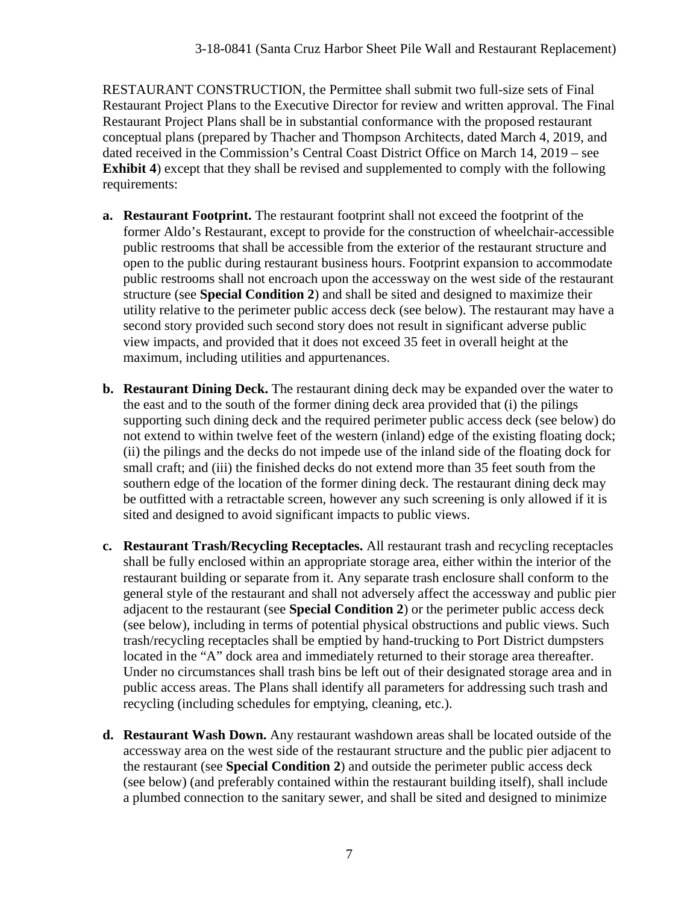RESTAURANT CONSTRUCTION, the Permittee shall submit two full-size sets of Final Restaurant Project Plans to the Executive Director for review and written approval. The Final Restaurant Project Plans shall be in substantial conformance with the proposed restaurant conceptual plans (prepared by Thacher and Thompson Architects, dated March 4, 2019, and dated received in the Commission's Central Coast District Office on March 14, 2019 – see **Exhibit 4**) except that they shall be revised and supplemented to comply with the following requirements:

- **a. Restaurant Footprint.** The restaurant footprint shall not exceed the footprint of the former Aldo's Restaurant, except to provide for the construction of wheelchair-accessible public restrooms that shall be accessible from the exterior of the restaurant structure and open to the public during restaurant business hours. Footprint expansion to accommodate public restrooms shall not encroach upon the accessway on the west side of the restaurant structure (see **Special Condition 2**) and shall be sited and designed to maximize their utility relative to the perimeter public access deck (see below). The restaurant may have a second story provided such second story does not result in significant adverse public view impacts, and provided that it does not exceed 35 feet in overall height at the maximum, including utilities and appurtenances.
- **b. Restaurant Dining Deck.** The restaurant dining deck may be expanded over the water to the east and to the south of the former dining deck area provided that (i) the pilings supporting such dining deck and the required perimeter public access deck (see below) do not extend to within twelve feet of the western (inland) edge of the existing floating dock; (ii) the pilings and the decks do not impede use of the inland side of the floating dock for small craft; and (iii) the finished decks do not extend more than 35 feet south from the southern edge of the location of the former dining deck. The restaurant dining deck may be outfitted with a retractable screen, however any such screening is only allowed if it is sited and designed to avoid significant impacts to public views.
- **c. Restaurant Trash/Recycling Receptacles.** All restaurant trash and recycling receptacles shall be fully enclosed within an appropriate storage area, either within the interior of the restaurant building or separate from it. Any separate trash enclosure shall conform to the general style of the restaurant and shall not adversely affect the accessway and public pier adjacent to the restaurant (see **Special Condition 2**) or the perimeter public access deck (see below), including in terms of potential physical obstructions and public views. Such trash/recycling receptacles shall be emptied by hand-trucking to Port District dumpsters located in the "A" dock area and immediately returned to their storage area thereafter. Under no circumstances shall trash bins be left out of their designated storage area and in public access areas. The Plans shall identify all parameters for addressing such trash and recycling (including schedules for emptying, cleaning, etc.).
- **d. Restaurant Wash Down.** Any restaurant washdown areas shall be located outside of the accessway area on the west side of the restaurant structure and the public pier adjacent to the restaurant (see **Special Condition 2**) and outside the perimeter public access deck (see below) (and preferably contained within the restaurant building itself), shall include a plumbed connection to the sanitary sewer, and shall be sited and designed to minimize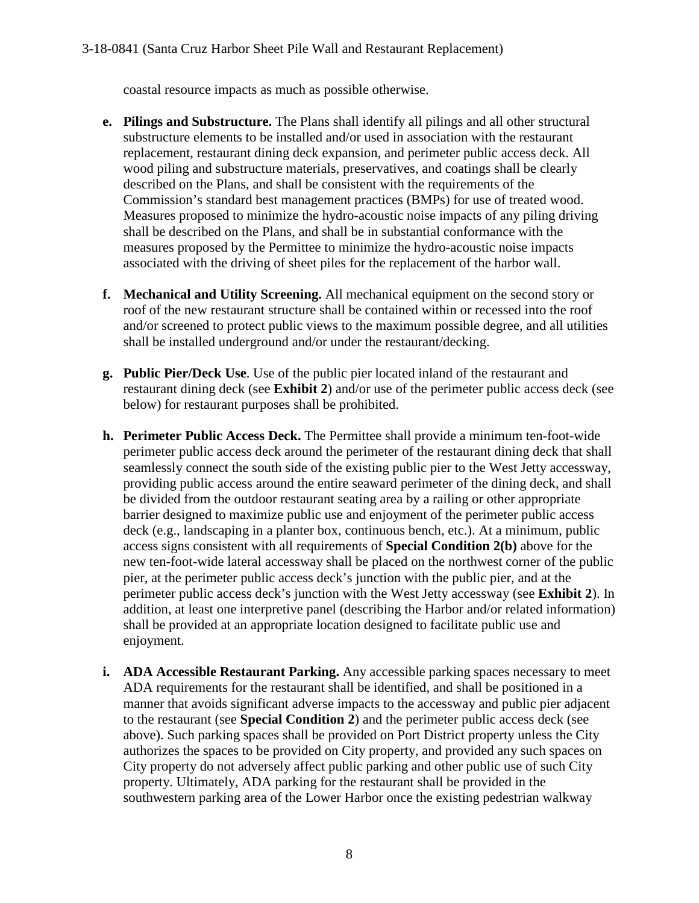coastal resource impacts as much as possible otherwise.

- **e. Pilings and Substructure.** The Plans shall identify all pilings and all other structural substructure elements to be installed and/or used in association with the restaurant replacement, restaurant dining deck expansion, and perimeter public access deck. All wood piling and substructure materials, preservatives, and coatings shall be clearly described on the Plans, and shall be consistent with the requirements of the Commission's standard best management practices (BMPs) for use of treated wood. Measures proposed to minimize the hydro-acoustic noise impacts of any piling driving shall be described on the Plans, and shall be in substantial conformance with the measures proposed by the Permittee to minimize the hydro-acoustic noise impacts associated with the driving of sheet piles for the replacement of the harbor wall.
- **f. Mechanical and Utility Screening.** All mechanical equipment on the second story or roof of the new restaurant structure shall be contained within or recessed into the roof and/or screened to protect public views to the maximum possible degree, and all utilities shall be installed underground and/or under the restaurant/decking.
- **g. Public Pier/Deck Use**. Use of the public pier located inland of the restaurant and restaurant dining deck (see **Exhibit 2**) and/or use of the perimeter public access deck (see below) for restaurant purposes shall be prohibited.
- **h. Perimeter Public Access Deck.** The Permittee shall provide a minimum ten-foot-wide perimeter public access deck around the perimeter of the restaurant dining deck that shall seamlessly connect the south side of the existing public pier to the West Jetty accessway, providing public access around the entire seaward perimeter of the dining deck, and shall be divided from the outdoor restaurant seating area by a railing or other appropriate barrier designed to maximize public use and enjoyment of the perimeter public access deck (e.g., landscaping in a planter box, continuous bench, etc.). At a minimum, public access signs consistent with all requirements of **Special Condition 2(b)** above for the new ten-foot-wide lateral accessway shall be placed on the northwest corner of the public pier, at the perimeter public access deck's junction with the public pier, and at the perimeter public access deck's junction with the West Jetty accessway (see **Exhibit 2**). In addition, at least one interpretive panel (describing the Harbor and/or related information) shall be provided at an appropriate location designed to facilitate public use and enjoyment.
- **i. ADA Accessible Restaurant Parking.** Any accessible parking spaces necessary to meet ADA requirements for the restaurant shall be identified, and shall be positioned in a manner that avoids significant adverse impacts to the accessway and public pier adjacent to the restaurant (see **Special Condition 2**) and the perimeter public access deck (see above). Such parking spaces shall be provided on Port District property unless the City authorizes the spaces to be provided on City property, and provided any such spaces on City property do not adversely affect public parking and other public use of such City property. Ultimately, ADA parking for the restaurant shall be provided in the southwestern parking area of the Lower Harbor once the existing pedestrian walkway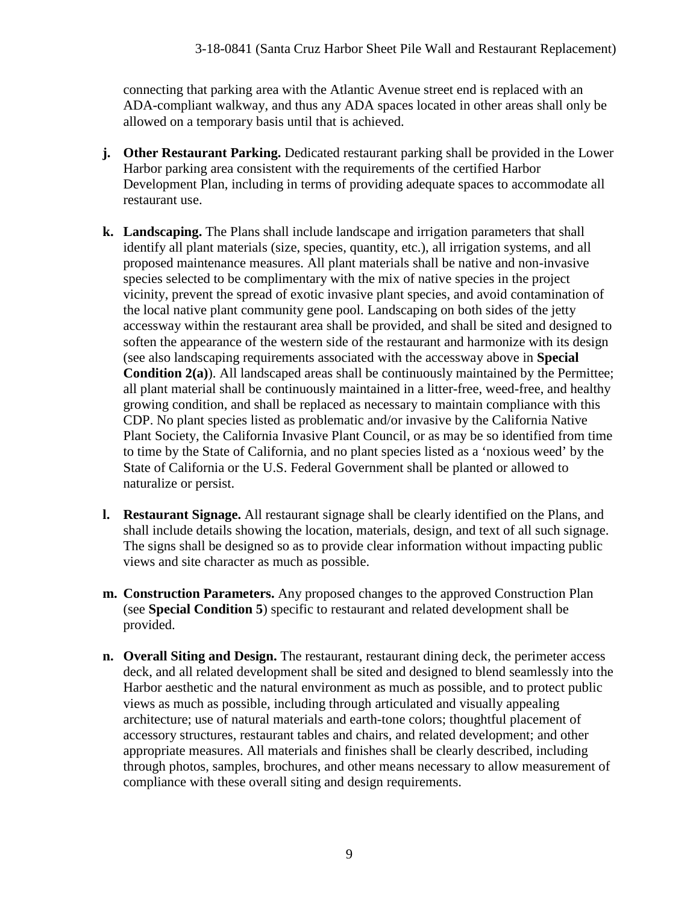connecting that parking area with the Atlantic Avenue street end is replaced with an ADA-compliant walkway, and thus any ADA spaces located in other areas shall only be allowed on a temporary basis until that is achieved.

- **j. Other Restaurant Parking.** Dedicated restaurant parking shall be provided in the Lower Harbor parking area consistent with the requirements of the certified Harbor Development Plan, including in terms of providing adequate spaces to accommodate all restaurant use.
- **k. Landscaping.** The Plans shall include landscape and irrigation parameters that shall identify all plant materials (size, species, quantity, etc.), all irrigation systems, and all proposed maintenance measures. All plant materials shall be native and non-invasive species selected to be complimentary with the mix of native species in the project vicinity, prevent the spread of exotic invasive plant species, and avoid contamination of the local native plant community gene pool. Landscaping on both sides of the jetty accessway within the restaurant area shall be provided, and shall be sited and designed to soften the appearance of the western side of the restaurant and harmonize with its design (see also landscaping requirements associated with the accessway above in **Special Condition 2(a)**). All landscaped areas shall be continuously maintained by the Permittee; all plant material shall be continuously maintained in a litter-free, weed-free, and healthy growing condition, and shall be replaced as necessary to maintain compliance with this CDP. No plant species listed as problematic and/or invasive by the California Native Plant Society, the California Invasive Plant Council, or as may be so identified from time to time by the State of California, and no plant species listed as a 'noxious weed' by the State of California or the U.S. Federal Government shall be planted or allowed to naturalize or persist.
- **l. Restaurant Signage.** All restaurant signage shall be clearly identified on the Plans, and shall include details showing the location, materials, design, and text of all such signage. The signs shall be designed so as to provide clear information without impacting public views and site character as much as possible.
- **m. Construction Parameters.** Any proposed changes to the approved Construction Plan (see **Special Condition 5**) specific to restaurant and related development shall be provided.
- **n. Overall Siting and Design.** The restaurant, restaurant dining deck, the perimeter access deck, and all related development shall be sited and designed to blend seamlessly into the Harbor aesthetic and the natural environment as much as possible, and to protect public views as much as possible, including through articulated and visually appealing architecture; use of natural materials and earth-tone colors; thoughtful placement of accessory structures, restaurant tables and chairs, and related development; and other appropriate measures. All materials and finishes shall be clearly described, including through photos, samples, brochures, and other means necessary to allow measurement of compliance with these overall siting and design requirements.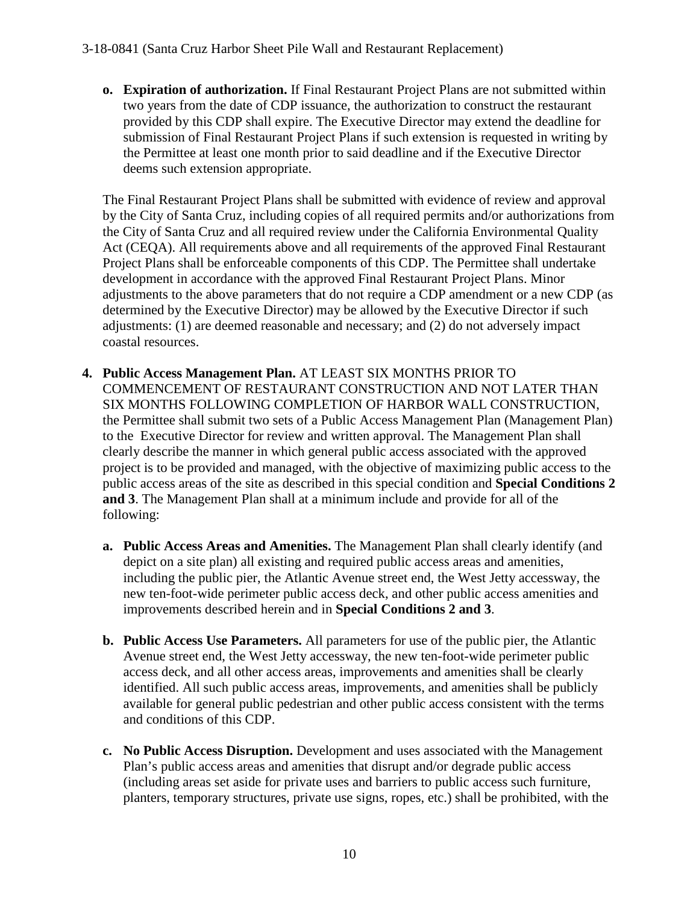**o. Expiration of authorization.** If Final Restaurant Project Plans are not submitted within two years from the date of CDP issuance, the authorization to construct the restaurant provided by this CDP shall expire. The Executive Director may extend the deadline for submission of Final Restaurant Project Plans if such extension is requested in writing by the Permittee at least one month prior to said deadline and if the Executive Director deems such extension appropriate.

The Final Restaurant Project Plans shall be submitted with evidence of review and approval by the City of Santa Cruz, including copies of all required permits and/or authorizations from the City of Santa Cruz and all required review under the California Environmental Quality Act (CEQA). All requirements above and all requirements of the approved Final Restaurant Project Plans shall be enforceable components of this CDP. The Permittee shall undertake development in accordance with the approved Final Restaurant Project Plans. Minor adjustments to the above parameters that do not require a CDP amendment or a new CDP (as determined by the Executive Director) may be allowed by the Executive Director if such adjustments: (1) are deemed reasonable and necessary; and (2) do not adversely impact coastal resources.

- **4. Public Access Management Plan.** AT LEAST SIX MONTHS PRIOR TO COMMENCEMENT OF RESTAURANT CONSTRUCTION AND NOT LATER THAN SIX MONTHS FOLLOWING COMPLETION OF HARBOR WALL CONSTRUCTION, the Permittee shall submit two sets of a Public Access Management Plan (Management Plan) to the Executive Director for review and written approval. The Management Plan shall clearly describe the manner in which general public access associated with the approved project is to be provided and managed, with the objective of maximizing public access to the public access areas of the site as described in this special condition and **Special Conditions 2 and 3**. The Management Plan shall at a minimum include and provide for all of the following:
	- **a. Public Access Areas and Amenities.** The Management Plan shall clearly identify (and depict on a site plan) all existing and required public access areas and amenities, including the public pier, the Atlantic Avenue street end, the West Jetty accessway, the new ten-foot-wide perimeter public access deck, and other public access amenities and improvements described herein and in **Special Conditions 2 and 3**.
	- **b. Public Access Use Parameters.** All parameters for use of the public pier, the Atlantic Avenue street end, the West Jetty accessway, the new ten-foot-wide perimeter public access deck, and all other access areas, improvements and amenities shall be clearly identified. All such public access areas, improvements, and amenities shall be publicly available for general public pedestrian and other public access consistent with the terms and conditions of this CDP.
	- **c. No Public Access Disruption.** Development and uses associated with the Management Plan's public access areas and amenities that disrupt and/or degrade public access (including areas set aside for private uses and barriers to public access such furniture, planters, temporary structures, private use signs, ropes, etc.) shall be prohibited, with the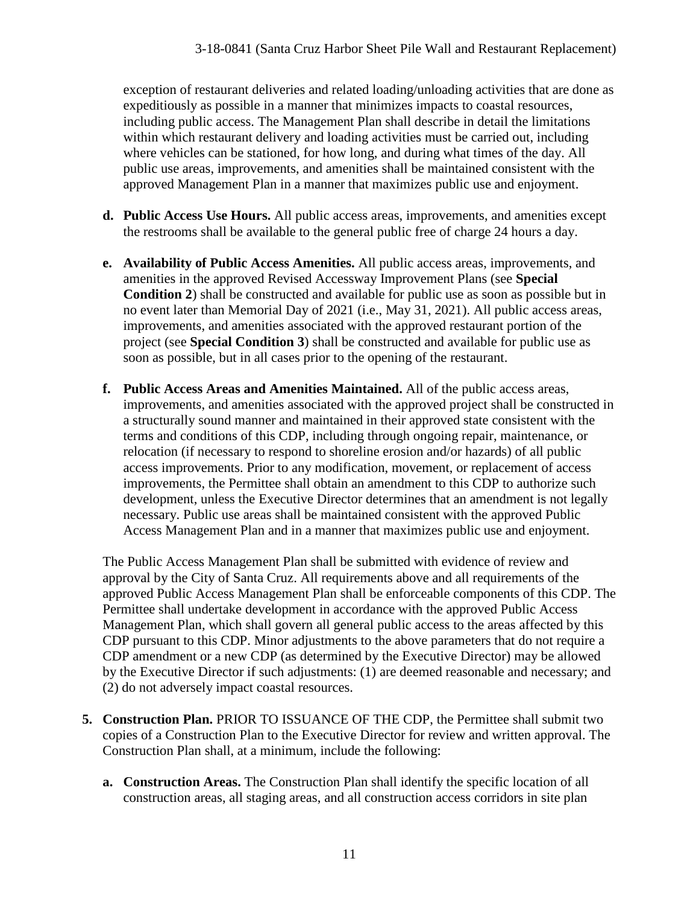exception of restaurant deliveries and related loading/unloading activities that are done as expeditiously as possible in a manner that minimizes impacts to coastal resources, including public access. The Management Plan shall describe in detail the limitations within which restaurant delivery and loading activities must be carried out, including where vehicles can be stationed, for how long, and during what times of the day. All public use areas, improvements, and amenities shall be maintained consistent with the approved Management Plan in a manner that maximizes public use and enjoyment.

- **d. Public Access Use Hours.** All public access areas, improvements, and amenities except the restrooms shall be available to the general public free of charge 24 hours a day.
- **e. Availability of Public Access Amenities.** All public access areas, improvements, and amenities in the approved Revised Accessway Improvement Plans (see **Special Condition 2**) shall be constructed and available for public use as soon as possible but in no event later than Memorial Day of 2021 (i.e., May 31, 2021). All public access areas, improvements, and amenities associated with the approved restaurant portion of the project (see **Special Condition 3**) shall be constructed and available for public use as soon as possible, but in all cases prior to the opening of the restaurant.
- **f. Public Access Areas and Amenities Maintained.** All of the public access areas, improvements, and amenities associated with the approved project shall be constructed in a structurally sound manner and maintained in their approved state consistent with the terms and conditions of this CDP, including through ongoing repair, maintenance, or relocation (if necessary to respond to shoreline erosion and/or hazards) of all public access improvements. Prior to any modification, movement, or replacement of access improvements, the Permittee shall obtain an amendment to this CDP to authorize such development, unless the Executive Director determines that an amendment is not legally necessary. Public use areas shall be maintained consistent with the approved Public Access Management Plan and in a manner that maximizes public use and enjoyment.

The Public Access Management Plan shall be submitted with evidence of review and approval by the City of Santa Cruz. All requirements above and all requirements of the approved Public Access Management Plan shall be enforceable components of this CDP. The Permittee shall undertake development in accordance with the approved Public Access Management Plan, which shall govern all general public access to the areas affected by this CDP pursuant to this CDP. Minor adjustments to the above parameters that do not require a CDP amendment or a new CDP (as determined by the Executive Director) may be allowed by the Executive Director if such adjustments: (1) are deemed reasonable and necessary; and (2) do not adversely impact coastal resources.

- **5. Construction Plan.** PRIOR TO ISSUANCE OF THE CDP, the Permittee shall submit two copies of a Construction Plan to the Executive Director for review and written approval. The Construction Plan shall, at a minimum, include the following:
	- **a. Construction Areas.** The Construction Plan shall identify the specific location of all construction areas, all staging areas, and all construction access corridors in site plan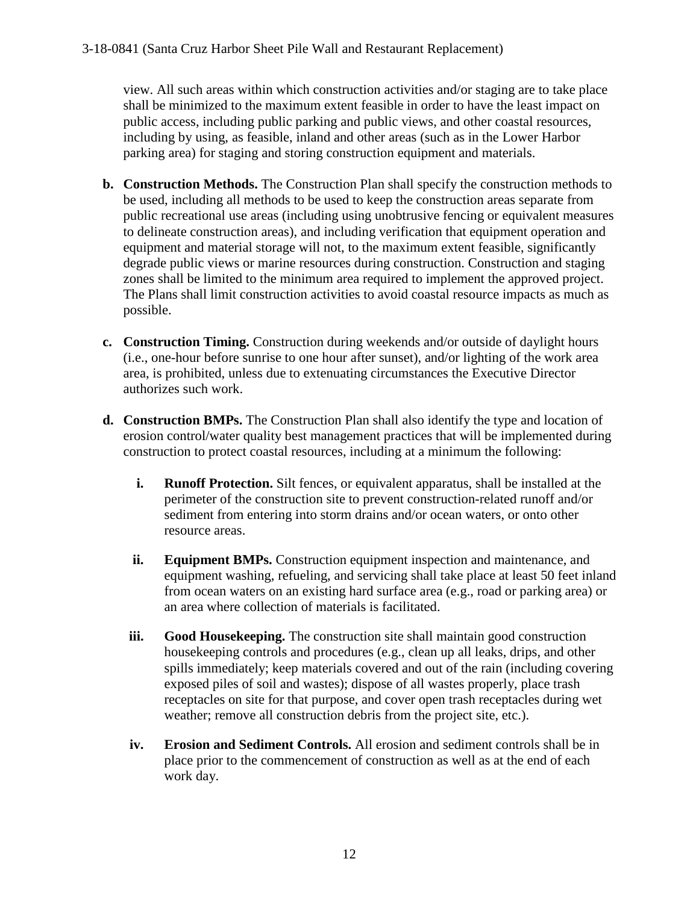view. All such areas within which construction activities and/or staging are to take place shall be minimized to the maximum extent feasible in order to have the least impact on public access, including public parking and public views, and other coastal resources, including by using, as feasible, inland and other areas (such as in the Lower Harbor parking area) for staging and storing construction equipment and materials.

- **b. Construction Methods.** The Construction Plan shall specify the construction methods to be used, including all methods to be used to keep the construction areas separate from public recreational use areas (including using unobtrusive fencing or equivalent measures to delineate construction areas), and including verification that equipment operation and equipment and material storage will not, to the maximum extent feasible, significantly degrade public views or marine resources during construction. Construction and staging zones shall be limited to the minimum area required to implement the approved project. The Plans shall limit construction activities to avoid coastal resource impacts as much as possible.
- **c. Construction Timing.** Construction during weekends and/or outside of daylight hours (i.e., one-hour before sunrise to one hour after sunset), and/or lighting of the work area area, is prohibited, unless due to extenuating circumstances the Executive Director authorizes such work.
- **d. Construction BMPs.** The Construction Plan shall also identify the type and location of erosion control/water quality best management practices that will be implemented during construction to protect coastal resources, including at a minimum the following:
	- **i. Runoff Protection.** Silt fences, or equivalent apparatus, shall be installed at the perimeter of the construction site to prevent construction-related runoff and/or sediment from entering into storm drains and/or ocean waters, or onto other resource areas.
	- **ii. Equipment BMPs.** Construction equipment inspection and maintenance, and equipment washing, refueling, and servicing shall take place at least 50 feet inland from ocean waters on an existing hard surface area (e.g., road or parking area) or an area where collection of materials is facilitated.
	- **iii. Good Housekeeping.** The construction site shall maintain good construction housekeeping controls and procedures (e.g., clean up all leaks, drips, and other spills immediately; keep materials covered and out of the rain (including covering exposed piles of soil and wastes); dispose of all wastes properly, place trash receptacles on site for that purpose, and cover open trash receptacles during wet weather; remove all construction debris from the project site, etc.).
	- **iv. Erosion and Sediment Controls.** All erosion and sediment controls shall be in place prior to the commencement of construction as well as at the end of each work day.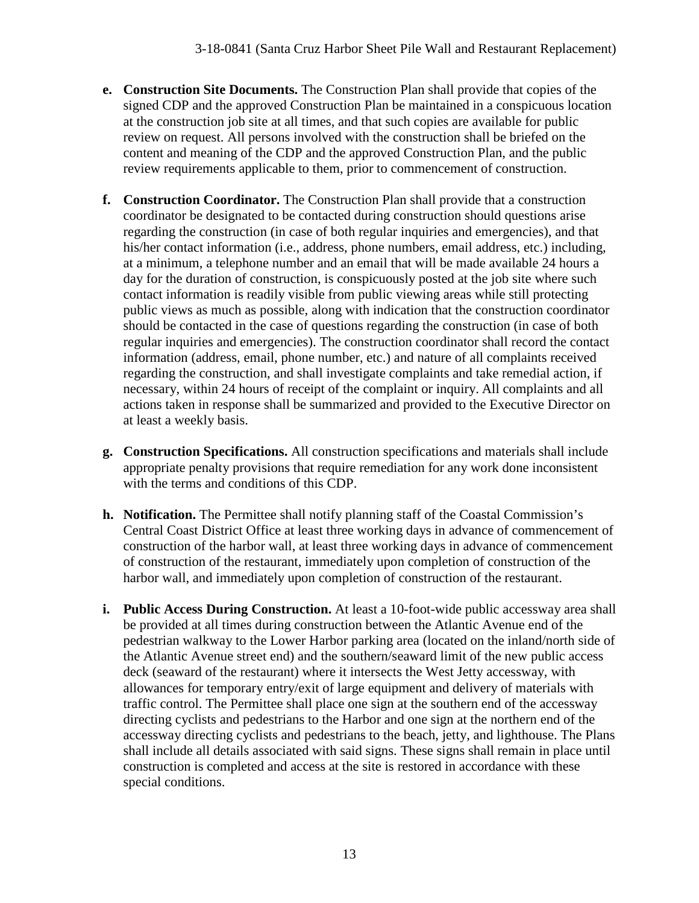- **e. Construction Site Documents.** The Construction Plan shall provide that copies of the signed CDP and the approved Construction Plan be maintained in a conspicuous location at the construction job site at all times, and that such copies are available for public review on request. All persons involved with the construction shall be briefed on the content and meaning of the CDP and the approved Construction Plan, and the public review requirements applicable to them, prior to commencement of construction.
- **f. Construction Coordinator.** The Construction Plan shall provide that a construction coordinator be designated to be contacted during construction should questions arise regarding the construction (in case of both regular inquiries and emergencies), and that his/her contact information (i.e., address, phone numbers, email address, etc.) including, at a minimum, a telephone number and an email that will be made available 24 hours a day for the duration of construction, is conspicuously posted at the job site where such contact information is readily visible from public viewing areas while still protecting public views as much as possible, along with indication that the construction coordinator should be contacted in the case of questions regarding the construction (in case of both regular inquiries and emergencies). The construction coordinator shall record the contact information (address, email, phone number, etc.) and nature of all complaints received regarding the construction, and shall investigate complaints and take remedial action, if necessary, within 24 hours of receipt of the complaint or inquiry. All complaints and all actions taken in response shall be summarized and provided to the Executive Director on at least a weekly basis.
- **g. Construction Specifications.** All construction specifications and materials shall include appropriate penalty provisions that require remediation for any work done inconsistent with the terms and conditions of this CDP.
- **h. Notification.** The Permittee shall notify planning staff of the Coastal Commission's Central Coast District Office at least three working days in advance of commencement of construction of the harbor wall, at least three working days in advance of commencement of construction of the restaurant, immediately upon completion of construction of the harbor wall, and immediately upon completion of construction of the restaurant.
- **i. Public Access During Construction.** At least a 10-foot-wide public accessway area shall be provided at all times during construction between the Atlantic Avenue end of the pedestrian walkway to the Lower Harbor parking area (located on the inland/north side of the Atlantic Avenue street end) and the southern/seaward limit of the new public access deck (seaward of the restaurant) where it intersects the West Jetty accessway, with allowances for temporary entry/exit of large equipment and delivery of materials with traffic control. The Permittee shall place one sign at the southern end of the accessway directing cyclists and pedestrians to the Harbor and one sign at the northern end of the accessway directing cyclists and pedestrians to the beach, jetty, and lighthouse. The Plans shall include all details associated with said signs. These signs shall remain in place until construction is completed and access at the site is restored in accordance with these special conditions.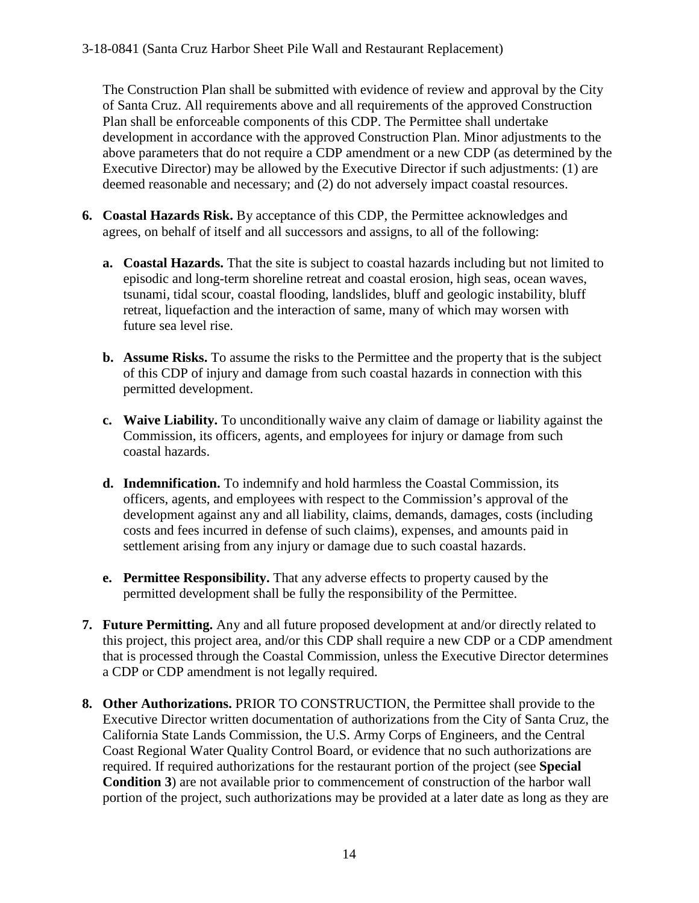The Construction Plan shall be submitted with evidence of review and approval by the City of Santa Cruz. All requirements above and all requirements of the approved Construction Plan shall be enforceable components of this CDP. The Permittee shall undertake development in accordance with the approved Construction Plan. Minor adjustments to the above parameters that do not require a CDP amendment or a new CDP (as determined by the Executive Director) may be allowed by the Executive Director if such adjustments: (1) are deemed reasonable and necessary; and (2) do not adversely impact coastal resources.

- **6. Coastal Hazards Risk.** By acceptance of this CDP, the Permittee acknowledges and agrees, on behalf of itself and all successors and assigns, to all of the following:
	- **a. Coastal Hazards.** That the site is subject to coastal hazards including but not limited to episodic and long-term shoreline retreat and coastal erosion, high seas, ocean waves, tsunami, tidal scour, coastal flooding, landslides, bluff and geologic instability, bluff retreat, liquefaction and the interaction of same, many of which may worsen with future sea level rise.
	- **b. Assume Risks.** To assume the risks to the Permittee and the property that is the subject of this CDP of injury and damage from such coastal hazards in connection with this permitted development.
	- **c. Waive Liability.** To unconditionally waive any claim of damage or liability against the Commission, its officers, agents, and employees for injury or damage from such coastal hazards.
	- **d. Indemnification.** To indemnify and hold harmless the Coastal Commission, its officers, agents, and employees with respect to the Commission's approval of the development against any and all liability, claims, demands, damages, costs (including costs and fees incurred in defense of such claims), expenses, and amounts paid in settlement arising from any injury or damage due to such coastal hazards.
	- **e. Permittee Responsibility.** That any adverse effects to property caused by the permitted development shall be fully the responsibility of the Permittee.
- **7. Future Permitting.** Any and all future proposed development at and/or directly related to this project, this project area, and/or this CDP shall require a new CDP or a CDP amendment that is processed through the Coastal Commission, unless the Executive Director determines a CDP or CDP amendment is not legally required.
- **8. Other Authorizations.** PRIOR TO CONSTRUCTION, the Permittee shall provide to the Executive Director written documentation of authorizations from the City of Santa Cruz, the California State Lands Commission, the U.S. Army Corps of Engineers, and the Central Coast Regional Water Quality Control Board, or evidence that no such authorizations are required. If required authorizations for the restaurant portion of the project (see **Special Condition 3**) are not available prior to commencement of construction of the harbor wall portion of the project, such authorizations may be provided at a later date as long as they are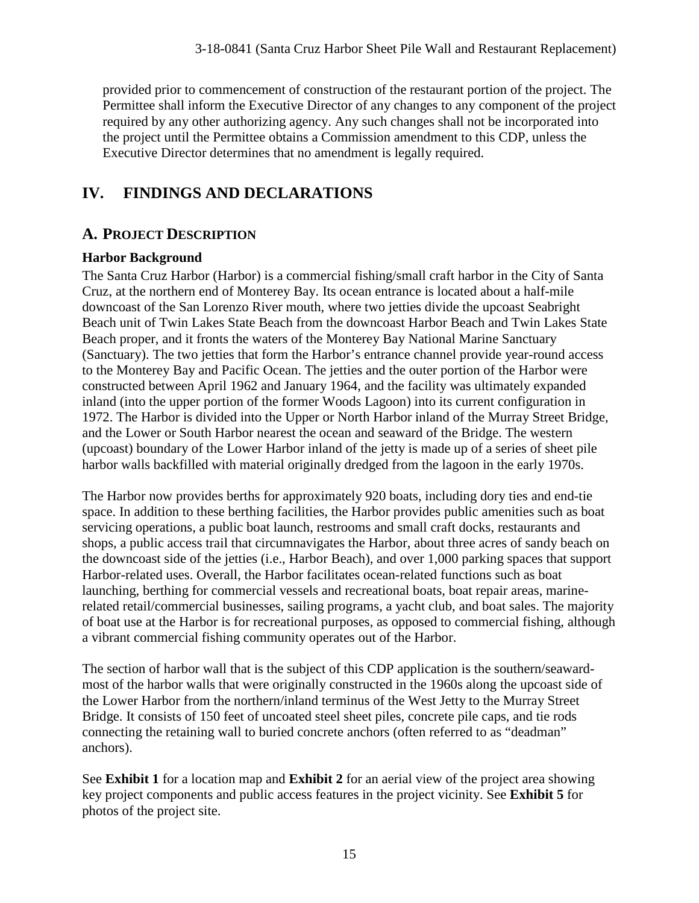provided prior to commencement of construction of the restaurant portion of the project. The Permittee shall inform the Executive Director of any changes to any component of the project required by any other authorizing agency. Any such changes shall not be incorporated into the project until the Permittee obtains a Commission amendment to this CDP, unless the Executive Director determines that no amendment is legally required.

# **IV. FINDINGS AND DECLARATIONS**

# **A. PROJECT DESCRIPTION**

### **Harbor Background**

The Santa Cruz Harbor (Harbor) is a commercial fishing/small craft harbor in the City of Santa Cruz, at the northern end of Monterey Bay. Its ocean entrance is located about a half-mile downcoast of the San Lorenzo River mouth, where two jetties divide the upcoast Seabright Beach unit of Twin Lakes State Beach from the downcoast Harbor Beach and Twin Lakes State Beach proper, and it fronts the waters of the Monterey Bay National Marine Sanctuary (Sanctuary). The two jetties that form the Harbor's entrance channel provide year-round access to the Monterey Bay and Pacific Ocean. The jetties and the outer portion of the Harbor were constructed between April 1962 and January 1964, and the facility was ultimately expanded inland (into the upper portion of the former Woods Lagoon) into its current configuration in 1972. The Harbor is divided into the Upper or North Harbor inland of the Murray Street Bridge, and the Lower or South Harbor nearest the ocean and seaward of the Bridge. The western (upcoast) boundary of the Lower Harbor inland of the jetty is made up of a series of sheet pile harbor walls backfilled with material originally dredged from the lagoon in the early 1970s.

The Harbor now provides berths for approximately 920 boats, including dory ties and end-tie space. In addition to these berthing facilities, the Harbor provides public amenities such as boat servicing operations, a public boat launch, restrooms and small craft docks, restaurants and shops, a public access trail that circumnavigates the Harbor, about three acres of sandy beach on the downcoast side of the jetties (i.e., Harbor Beach), and over 1,000 parking spaces that support Harbor-related uses. Overall, the Harbor facilitates ocean-related functions such as boat launching, berthing for commercial vessels and recreational boats, boat repair areas, marinerelated retail/commercial businesses, sailing programs, a yacht club, and boat sales. The majority of boat use at the Harbor is for recreational purposes, as opposed to commercial fishing, although a vibrant commercial fishing community operates out of the Harbor.

The section of harbor wall that is the subject of this CDP application is the southern/seawardmost of the harbor walls that were originally constructed in the 1960s along the upcoast side of the Lower Harbor from the northern/inland terminus of the West Jetty to the Murray Street Bridge. It consists of 150 feet of uncoated steel sheet piles, concrete pile caps, and tie rods connecting the retaining wall to buried concrete anchors (often referred to as "deadman" anchors).

See **Exhibit 1** for a location map and **Exhibit 2** for an aerial view of the project area showing key project components and public access features in the project vicinity. See **Exhibit 5** for photos of the project site.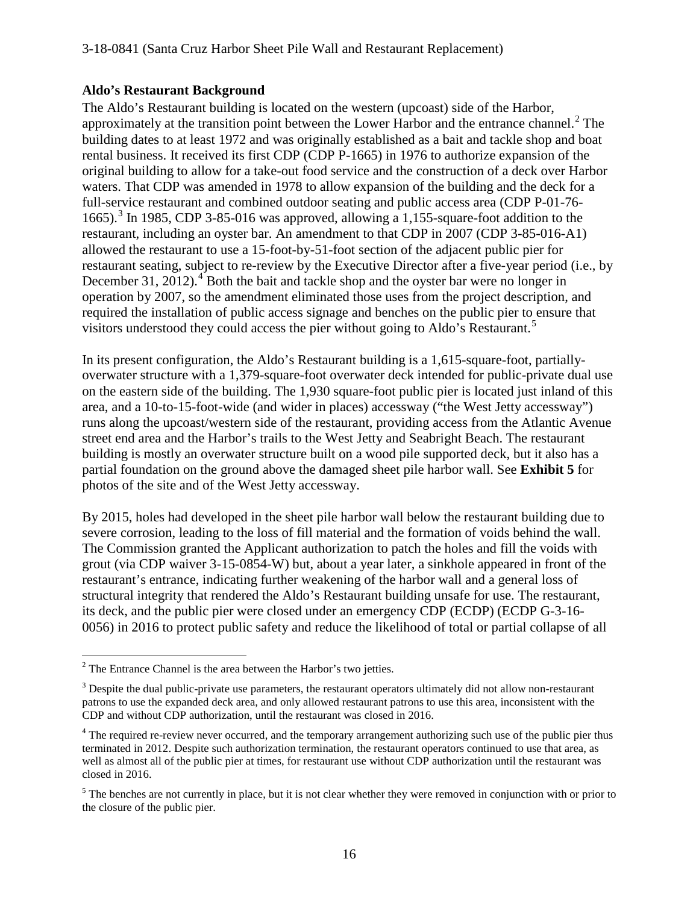#### **Aldo's Restaurant Background**

The Aldo's Restaurant building is located on the western (upcoast) side of the Harbor, approximately at the transition point between the Lower Harbor and the entrance channel.<sup>[2](#page-15-0)</sup> The building dates to at least 1972 and was originally established as a bait and tackle shop and boat rental business. It received its first CDP (CDP P-1665) in 1976 to authorize expansion of the original building to allow for a take-out food service and the construction of a deck over Harbor waters. That CDP was amended in 1978 to allow expansion of the building and the deck for a full-service restaurant and combined outdoor seating and public access area (CDP P-01-76- 1665).<sup>[3](#page-15-1)</sup> In 1985, CDP 3-85-016 was approved, allowing a 1,155-square-foot addition to the restaurant, including an oyster bar. An amendment to that CDP in 2007 (CDP 3-85-016-A1) allowed the restaurant to use a 15-foot-by-51-foot section of the adjacent public pier for restaurant seating, subject to re-review by the Executive Director after a five-year period (i.e., by December 31, 2012). $\rm ^4$  $\rm ^4$  Both the bait and tackle shop and the oyster bar were no longer in operation by 2007, so the amendment eliminated those uses from the project description, and required the installation of public access signage and benches on the public pier to ensure that visitors understood they could access the pier without going to Aldo's Restaurant.<sup>[5](#page-15-3)</sup>

In its present configuration, the Aldo's Restaurant building is a 1,615-square-foot, partiallyoverwater structure with a 1,379-square-foot overwater deck intended for public-private dual use on the eastern side of the building. The 1,930 square-foot public pier is located just inland of this area, and a 10-to-15-foot-wide (and wider in places) accessway ("the West Jetty accessway") runs along the upcoast/western side of the restaurant, providing access from the Atlantic Avenue street end area and the Harbor's trails to the West Jetty and Seabright Beach. The restaurant building is mostly an overwater structure built on a wood pile supported deck, but it also has a partial foundation on the ground above the damaged sheet pile harbor wall. See **Exhibit 5** for photos of the site and of the West Jetty accessway.

By 2015, holes had developed in the sheet pile harbor wall below the restaurant building due to severe corrosion, leading to the loss of fill material and the formation of voids behind the wall. The Commission granted the Applicant authorization to patch the holes and fill the voids with grout (via CDP waiver 3-15-0854-W) but, about a year later, a sinkhole appeared in front of the restaurant's entrance, indicating further weakening of the harbor wall and a general loss of structural integrity that rendered the Aldo's Restaurant building unsafe for use. The restaurant, its deck, and the public pier were closed under an emergency CDP (ECDP) (ECDP G-3-16- 0056) in 2016 to protect public safety and reduce the likelihood of total or partial collapse of all

 $\overline{a}$ 

<span id="page-15-0"></span> $2^2$  The Entrance Channel is the area between the Harbor's two jetties.

<span id="page-15-1"></span><sup>&</sup>lt;sup>3</sup> Despite the dual public-private use parameters, the restaurant operators ultimately did not allow non-restaurant patrons to use the expanded deck area, and only allowed restaurant patrons to use this area, inconsistent with the CDP and without CDP authorization, until the restaurant was closed in 2016.

<span id="page-15-2"></span><sup>&</sup>lt;sup>4</sup> The required re-review never occurred, and the temporary arrangement authorizing such use of the public pier thus terminated in 2012. Despite such authorization termination, the restaurant operators continued to use that area, as well as almost all of the public pier at times, for restaurant use without CDP authorization until the restaurant was closed in 2016.

<span id="page-15-3"></span> $<sup>5</sup>$  The benches are not currently in place, but it is not clear whether they were removed in conjunction with or prior to</sup> the closure of the public pier.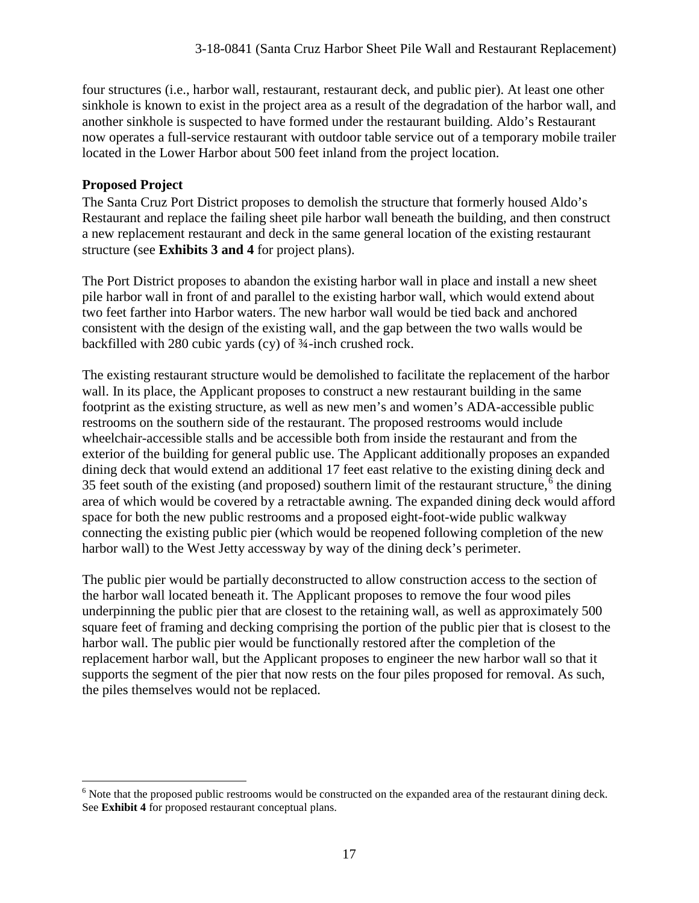four structures (i.e., harbor wall, restaurant, restaurant deck, and public pier). At least one other sinkhole is known to exist in the project area as a result of the degradation of the harbor wall, and another sinkhole is suspected to have formed under the restaurant building. Aldo's Restaurant now operates a full-service restaurant with outdoor table service out of a temporary mobile trailer located in the Lower Harbor about 500 feet inland from the project location.

### **Proposed Project**

The Santa Cruz Port District proposes to demolish the structure that formerly housed Aldo's Restaurant and replace the failing sheet pile harbor wall beneath the building, and then construct a new replacement restaurant and deck in the same general location of the existing restaurant structure (see **Exhibits 3 and 4** for project plans).

The Port District proposes to abandon the existing harbor wall in place and install a new sheet pile harbor wall in front of and parallel to the existing harbor wall, which would extend about two feet farther into Harbor waters. The new harbor wall would be tied back and anchored consistent with the design of the existing wall, and the gap between the two walls would be backfilled with 280 cubic yards (cy) of ¾-inch crushed rock.

The existing restaurant structure would be demolished to facilitate the replacement of the harbor wall. In its place, the Applicant proposes to construct a new restaurant building in the same footprint as the existing structure, as well as new men's and women's ADA-accessible public restrooms on the southern side of the restaurant. The proposed restrooms would include wheelchair-accessible stalls and be accessible both from inside the restaurant and from the exterior of the building for general public use. The Applicant additionally proposes an expanded dining deck that would extend an additional 17 feet east relative to the existing dining deck and 35 feet south of the existing (and proposed) southern limit of the restaurant structure,  $\overline{6}$  $\overline{6}$  $\overline{6}$  the dining area of which would be covered by a retractable awning. The expanded dining deck would afford space for both the new public restrooms and a proposed eight-foot-wide public walkway connecting the existing public pier (which would be reopened following completion of the new harbor wall) to the West Jetty accessway by way of the dining deck's perimeter.

The public pier would be partially deconstructed to allow construction access to the section of the harbor wall located beneath it. The Applicant proposes to remove the four wood piles underpinning the public pier that are closest to the retaining wall, as well as approximately 500 square feet of framing and decking comprising the portion of the public pier that is closest to the harbor wall. The public pier would be functionally restored after the completion of the replacement harbor wall, but the Applicant proposes to engineer the new harbor wall so that it supports the segment of the pier that now rests on the four piles proposed for removal. As such, the piles themselves would not be replaced.

<span id="page-16-0"></span> $\overline{a}$ <sup>6</sup> Note that the proposed public restrooms would be constructed on the expanded area of the restaurant dining deck. See **Exhibit 4** for proposed restaurant conceptual plans.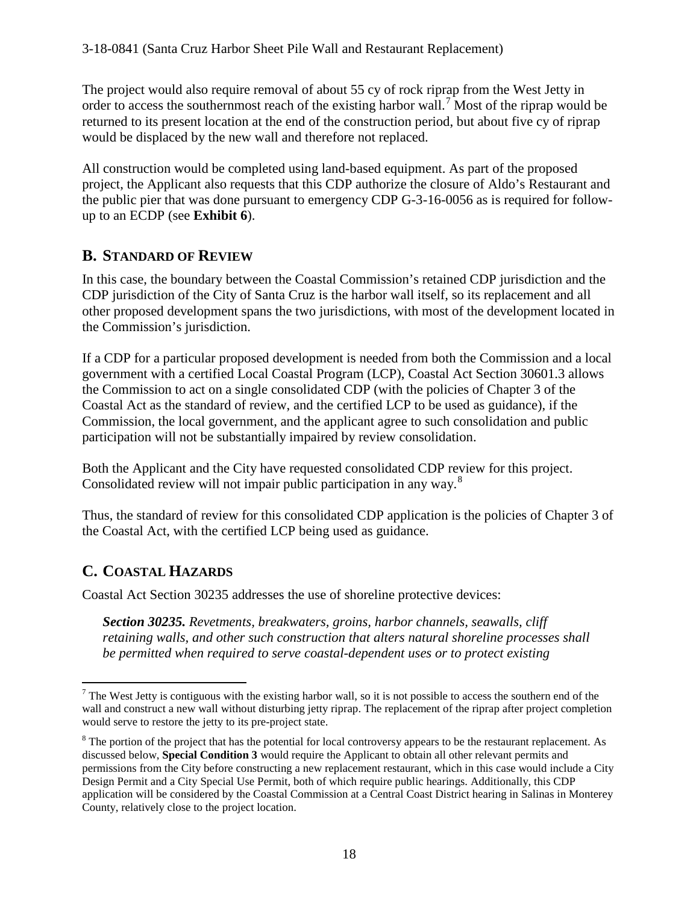The project would also require removal of about 55 cy of rock riprap from the West Jetty in order to access the southernmost reach of the existing harbor wall.<sup>[7](#page-17-0)</sup> Most of the riprap would be returned to its present location at the end of the construction period, but about five cy of riprap would be displaced by the new wall and therefore not replaced.

All construction would be completed using land-based equipment. As part of the proposed project, the Applicant also requests that this CDP authorize the closure of Aldo's Restaurant and the public pier that was done pursuant to emergency CDP G-3-16-0056 as is required for followup to an ECDP (see **Exhibit 6**).

### **B. STANDARD OF REVIEW**

In this case, the boundary between the Coastal Commission's retained CDP jurisdiction and the CDP jurisdiction of the City of Santa Cruz is the harbor wall itself, so its replacement and all other proposed development spans the two jurisdictions, with most of the development located in the Commission's jurisdiction.

If a CDP for a particular proposed development is needed from both the Commission and a local government with a certified Local Coastal Program (LCP), Coastal Act Section 30601.3 allows the Commission to act on a single consolidated CDP (with the policies of Chapter 3 of the Coastal Act as the standard of review, and the certified LCP to be used as guidance), if the Commission, the local government, and the applicant agree to such consolidation and public participation will not be substantially impaired by review consolidation.

Both the Applicant and the City have requested consolidated CDP review for this project. Consolidated review will not impair public participation in any way.<sup>[8](#page-17-1)</sup>

Thus, the standard of review for this consolidated CDP application is the policies of Chapter 3 of the Coastal Act, with the certified LCP being used as guidance.

### **C. COASTAL HAZARDS**

Coastal Act Section 30235 addresses the use of shoreline protective devices:

*Section 30235. Revetments, breakwaters, groins, harbor channels, seawalls, cliff retaining walls, and other such construction that alters natural shoreline processes shall be permitted when required to serve coastal-dependent uses or to protect existing* 

<span id="page-17-0"></span> $\overline{a}$  $<sup>7</sup>$  The West Jetty is contiguous with the existing harbor wall, so it is not possible to access the southern end of the</sup> wall and construct a new wall without disturbing jetty riprap. The replacement of the riprap after project completion would serve to restore the jetty to its pre-project state.

<span id="page-17-1"></span><sup>&</sup>lt;sup>8</sup> The portion of the project that has the potential for local controversy appears to be the restaurant replacement. As discussed below, **Special Condition 3** would require the Applicant to obtain all other relevant permits and permissions from the City before constructing a new replacement restaurant, which in this case would include a City Design Permit and a City Special Use Permit, both of which require public hearings. Additionally, this CDP application will be considered by the Coastal Commission at a Central Coast District hearing in Salinas in Monterey County, relatively close to the project location.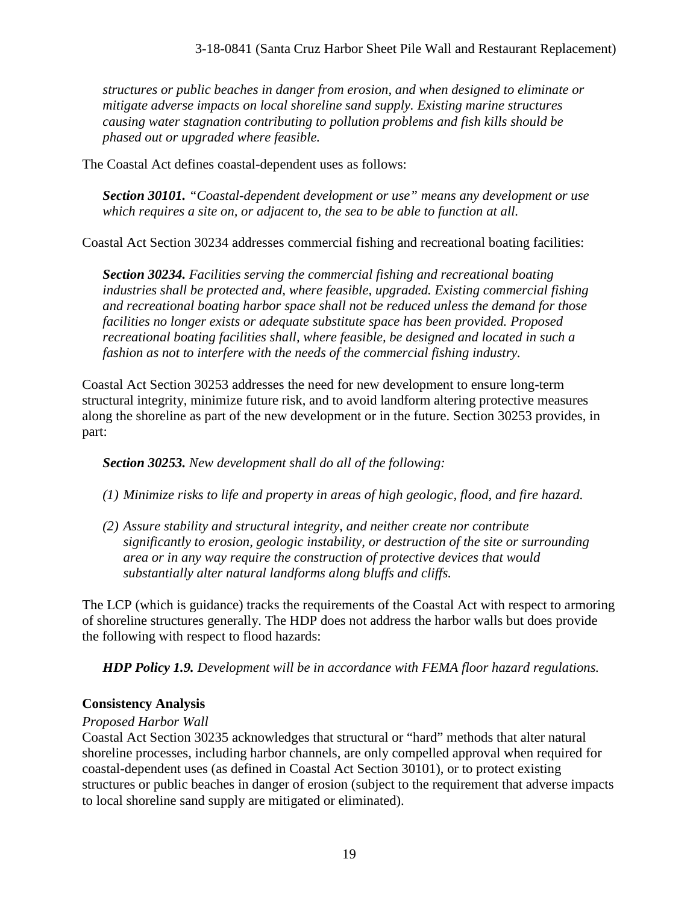*structures or public beaches in danger from erosion, and when designed to eliminate or mitigate adverse impacts on local shoreline sand supply. Existing marine structures causing water stagnation contributing to pollution problems and fish kills should be phased out or upgraded where feasible.* 

The Coastal Act defines coastal-dependent uses as follows:

*Section 30101. "Coastal-dependent development or use" means any development or use which requires a site on, or adjacent to, the sea to be able to function at all.* 

Coastal Act Section 30234 addresses commercial fishing and recreational boating facilities:

*Section 30234. Facilities serving the commercial fishing and recreational boating industries shall be protected and, where feasible, upgraded. Existing commercial fishing and recreational boating harbor space shall not be reduced unless the demand for those facilities no longer exists or adequate substitute space has been provided. Proposed recreational boating facilities shall, where feasible, be designed and located in such a fashion as not to interfere with the needs of the commercial fishing industry.* 

Coastal Act Section 30253 addresses the need for new development to ensure long-term structural integrity, minimize future risk, and to avoid landform altering protective measures along the shoreline as part of the new development or in the future. Section 30253 provides, in part:

*Section 30253. New development shall do all of the following:* 

*(1) Minimize risks to life and property in areas of high geologic, flood, and fire hazard.* 

*(2) Assure stability and structural integrity, and neither create nor contribute significantly to erosion, geologic instability, or destruction of the site or surrounding area or in any way require the construction of protective devices that would substantially alter natural landforms along bluffs and cliffs.* 

The LCP (which is guidance) tracks the requirements of the Coastal Act with respect to armoring of shoreline structures generally. The HDP does not address the harbor walls but does provide the following with respect to flood hazards:

*HDP Policy 1.9. Development will be in accordance with FEMA floor hazard regulations.* 

#### **Consistency Analysis**

#### *Proposed Harbor Wall*

Coastal Act Section 30235 acknowledges that structural or "hard" methods that alter natural shoreline processes, including harbor channels, are only compelled approval when required for coastal-dependent uses (as defined in Coastal Act Section 30101), or to protect existing structures or public beaches in danger of erosion (subject to the requirement that adverse impacts to local shoreline sand supply are mitigated or eliminated).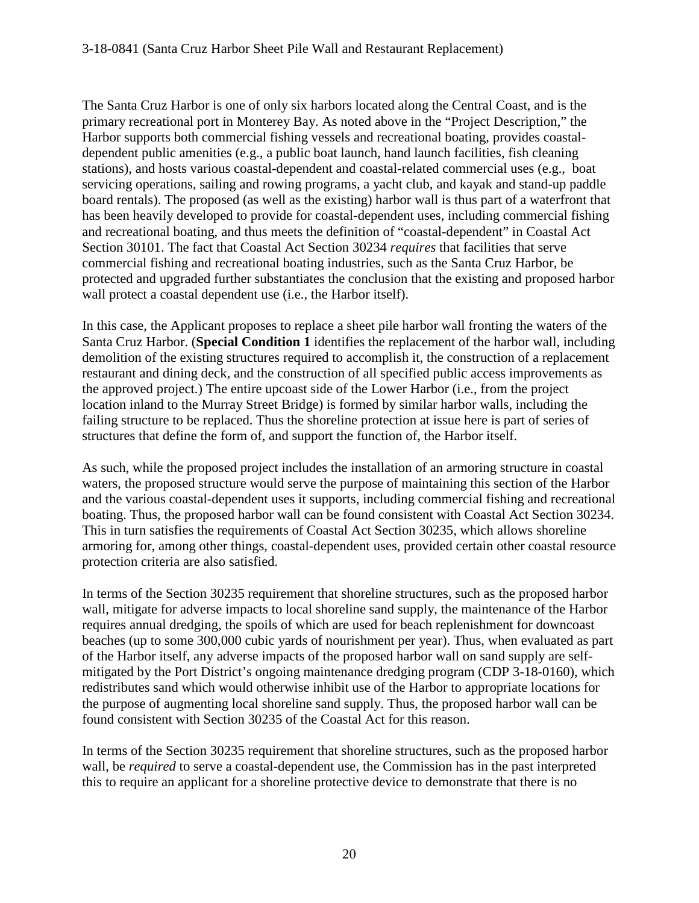The Santa Cruz Harbor is one of only six harbors located along the Central Coast, and is the primary recreational port in Monterey Bay. As noted above in the "Project Description," the Harbor supports both commercial fishing vessels and recreational boating, provides coastaldependent public amenities (e.g., a public boat launch, hand launch facilities, fish cleaning stations), and hosts various coastal-dependent and coastal-related commercial uses (e.g., boat servicing operations, sailing and rowing programs, a yacht club, and kayak and stand-up paddle board rentals). The proposed (as well as the existing) harbor wall is thus part of a waterfront that has been heavily developed to provide for coastal-dependent uses, including commercial fishing and recreational boating, and thus meets the definition of "coastal-dependent" in Coastal Act Section 30101. The fact that Coastal Act Section 30234 *requires* that facilities that serve commercial fishing and recreational boating industries, such as the Santa Cruz Harbor, be protected and upgraded further substantiates the conclusion that the existing and proposed harbor wall protect a coastal dependent use (i.e., the Harbor itself).

In this case, the Applicant proposes to replace a sheet pile harbor wall fronting the waters of the Santa Cruz Harbor. (**Special Condition 1** identifies the replacement of the harbor wall, including demolition of the existing structures required to accomplish it, the construction of a replacement restaurant and dining deck, and the construction of all specified public access improvements as the approved project.) The entire upcoast side of the Lower Harbor (i.e., from the project location inland to the Murray Street Bridge) is formed by similar harbor walls, including the failing structure to be replaced. Thus the shoreline protection at issue here is part of series of structures that define the form of, and support the function of, the Harbor itself.

As such, while the proposed project includes the installation of an armoring structure in coastal waters, the proposed structure would serve the purpose of maintaining this section of the Harbor and the various coastal-dependent uses it supports, including commercial fishing and recreational boating. Thus, the proposed harbor wall can be found consistent with Coastal Act Section 30234. This in turn satisfies the requirements of Coastal Act Section 30235, which allows shoreline armoring for, among other things, coastal-dependent uses, provided certain other coastal resource protection criteria are also satisfied.

In terms of the Section 30235 requirement that shoreline structures, such as the proposed harbor wall, mitigate for adverse impacts to local shoreline sand supply, the maintenance of the Harbor requires annual dredging, the spoils of which are used for beach replenishment for downcoast beaches (up to some 300,000 cubic yards of nourishment per year). Thus, when evaluated as part of the Harbor itself, any adverse impacts of the proposed harbor wall on sand supply are selfmitigated by the Port District's ongoing maintenance dredging program (CDP 3-18-0160), which redistributes sand which would otherwise inhibit use of the Harbor to appropriate locations for the purpose of augmenting local shoreline sand supply. Thus, the proposed harbor wall can be found consistent with Section 30235 of the Coastal Act for this reason.

In terms of the Section 30235 requirement that shoreline structures, such as the proposed harbor wall, be *required* to serve a coastal-dependent use, the Commission has in the past interpreted this to require an applicant for a shoreline protective device to demonstrate that there is no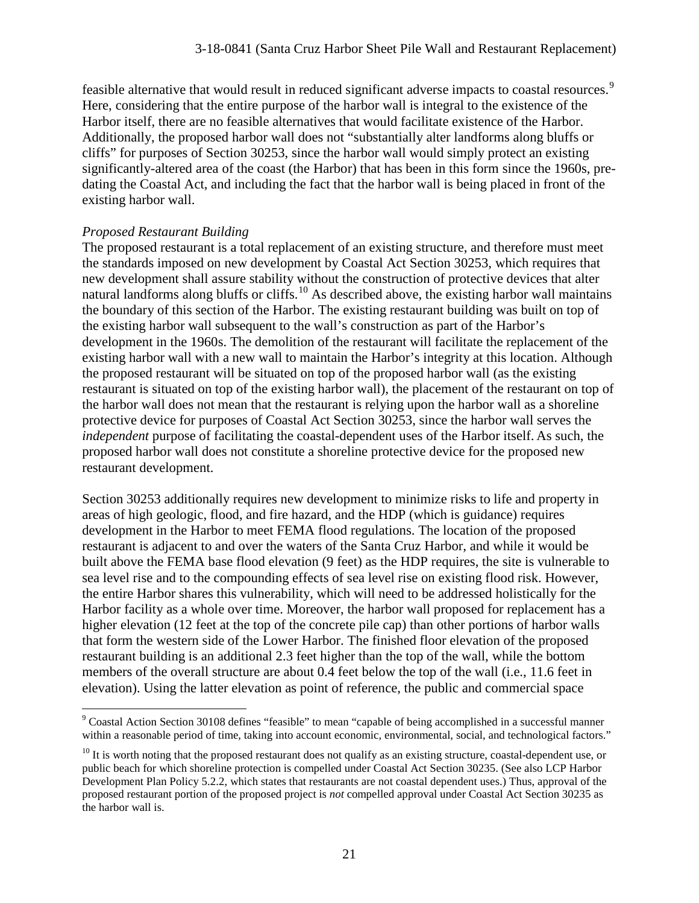feasible alternative that would result in reduced significant adverse impacts to coastal resources.<sup>[9](#page-20-0)</sup> Here, considering that the entire purpose of the harbor wall is integral to the existence of the Harbor itself, there are no feasible alternatives that would facilitate existence of the Harbor. Additionally, the proposed harbor wall does not "substantially alter landforms along bluffs or cliffs" for purposes of Section 30253, since the harbor wall would simply protect an existing significantly-altered area of the coast (the Harbor) that has been in this form since the 1960s, predating the Coastal Act, and including the fact that the harbor wall is being placed in front of the existing harbor wall.

#### *Proposed Restaurant Building*

 $\overline{a}$ 

The proposed restaurant is a total replacement of an existing structure, and therefore must meet the standards imposed on new development by Coastal Act Section 30253, which requires that new development shall assure stability without the construction of protective devices that alter natural landforms along bluffs or cliffs.<sup>10</sup> As described above, the existing harbor wall maintains the boundary of this section of the Harbor. The existing restaurant building was built on top of the existing harbor wall subsequent to the wall's construction as part of the Harbor's development in the 1960s. The demolition of the restaurant will facilitate the replacement of the existing harbor wall with a new wall to maintain the Harbor's integrity at this location. Although the proposed restaurant will be situated on top of the proposed harbor wall (as the existing restaurant is situated on top of the existing harbor wall), the placement of the restaurant on top of the harbor wall does not mean that the restaurant is relying upon the harbor wall as a shoreline protective device for purposes of Coastal Act Section 30253, since the harbor wall serves the *independent* purpose of facilitating the coastal-dependent uses of the Harbor itself. As such, the proposed harbor wall does not constitute a shoreline protective device for the proposed new restaurant development.

Section 30253 additionally requires new development to minimize risks to life and property in areas of high geologic, flood, and fire hazard, and the HDP (which is guidance) requires development in the Harbor to meet FEMA flood regulations. The location of the proposed restaurant is adjacent to and over the waters of the Santa Cruz Harbor, and while it would be built above the FEMA base flood elevation (9 feet) as the HDP requires, the site is vulnerable to sea level rise and to the compounding effects of sea level rise on existing flood risk. However, the entire Harbor shares this vulnerability, which will need to be addressed holistically for the Harbor facility as a whole over time. Moreover, the harbor wall proposed for replacement has a higher elevation (12 feet at the top of the concrete pile cap) than other portions of harbor walls that form the western side of the Lower Harbor. The finished floor elevation of the proposed restaurant building is an additional 2.3 feet higher than the top of the wall, while the bottom members of the overall structure are about 0.4 feet below the top of the wall (i.e., 11.6 feet in elevation). Using the latter elevation as point of reference, the public and commercial space

<span id="page-20-0"></span><sup>9</sup> Coastal Action Section 30108 defines "feasible" to mean "capable of being accomplished in a successful manner within a reasonable period of time, taking into account economic, environmental, social, and technological factors."

<span id="page-20-1"></span> $10$  It is worth noting that the proposed restaurant does not qualify as an existing structure, coastal-dependent use, or public beach for which shoreline protection is compelled under Coastal Act Section 30235. (See also LCP Harbor Development Plan Policy 5.2.2, which states that restaurants are not coastal dependent uses.) Thus, approval of the proposed restaurant portion of the proposed project is *not* compelled approval under Coastal Act Section 30235 as the harbor wall is.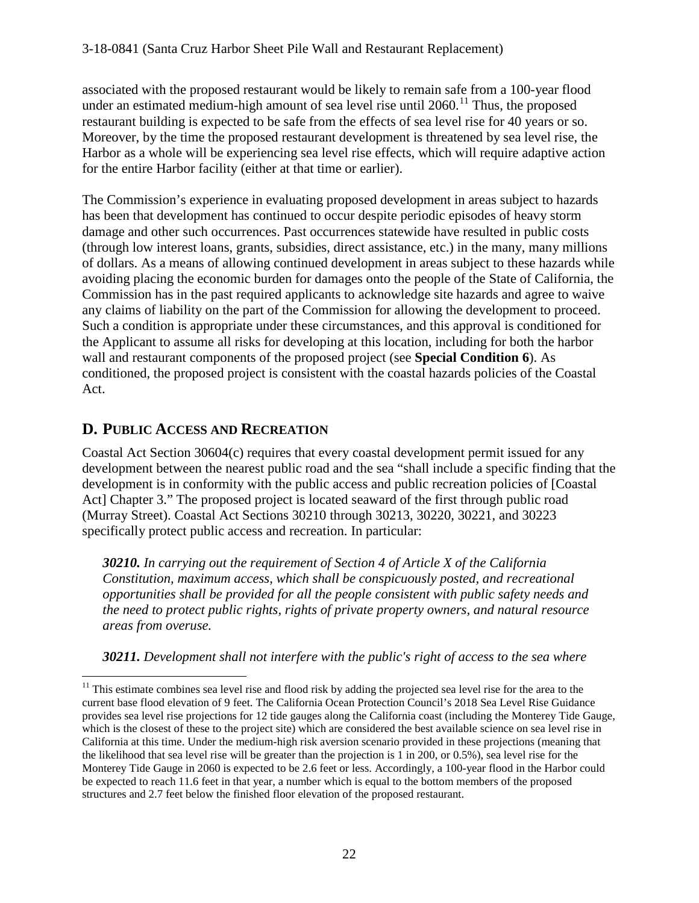associated with the proposed restaurant would be likely to remain safe from a 100-year flood under an estimated medium-high amount of sea level rise until  $2060$ .<sup>11</sup> Thus, the proposed restaurant building is expected to be safe from the effects of sea level rise for 40 years or so. Moreover, by the time the proposed restaurant development is threatened by sea level rise, the Harbor as a whole will be experiencing sea level rise effects, which will require adaptive action for the entire Harbor facility (either at that time or earlier).

The Commission's experience in evaluating proposed development in areas subject to hazards has been that development has continued to occur despite periodic episodes of heavy storm damage and other such occurrences. Past occurrences statewide have resulted in public costs (through low interest loans, grants, subsidies, direct assistance, etc.) in the many, many millions of dollars. As a means of allowing continued development in areas subject to these hazards while avoiding placing the economic burden for damages onto the people of the State of California, the Commission has in the past required applicants to acknowledge site hazards and agree to waive any claims of liability on the part of the Commission for allowing the development to proceed. Such a condition is appropriate under these circumstances, and this approval is conditioned for the Applicant to assume all risks for developing at this location, including for both the harbor wall and restaurant components of the proposed project (see **Special Condition 6**). As conditioned, the proposed project is consistent with the coastal hazards policies of the Coastal Act.

### **D. PUBLIC ACCESS AND RECREATION**

Coastal Act Section 30604(c) requires that every coastal development permit issued for any development between the nearest public road and the sea "shall include a specific finding that the development is in conformity with the public access and public recreation policies of [Coastal Act] Chapter 3." The proposed project is located seaward of the first through public road (Murray Street). Coastal Act Sections 30210 through 30213, 30220, 30221, and 30223 specifically protect public access and recreation. In particular:

*30210. In carrying out the requirement of Section 4 of Article X of the California Constitution, maximum access, which shall be conspicuously posted, and recreational opportunities shall be provided for all the people consistent with public safety needs and the need to protect public rights, rights of private property owners, and natural resource areas from overuse.*

*30211. Development shall not interfere with the public's right of access to the sea where* 

<span id="page-21-0"></span> $\overline{a}$ <sup>11</sup> This estimate combines sea level rise and flood risk by adding the projected sea level rise for the area to the current base flood elevation of 9 feet. The California Ocean Protection Council's 2018 Sea Level Rise Guidance provides sea level rise projections for 12 tide gauges along the California coast (including the Monterey Tide Gauge, which is the closest of these to the project site) which are considered the best available science on sea level rise in California at this time. Under the medium-high risk aversion scenario provided in these projections (meaning that the likelihood that sea level rise will be greater than the projection is 1 in 200, or 0.5%), sea level rise for the Monterey Tide Gauge in 2060 is expected to be 2.6 feet or less. Accordingly, a 100-year flood in the Harbor could be expected to reach 11.6 feet in that year, a number which is equal to the bottom members of the proposed structures and 2.7 feet below the finished floor elevation of the proposed restaurant.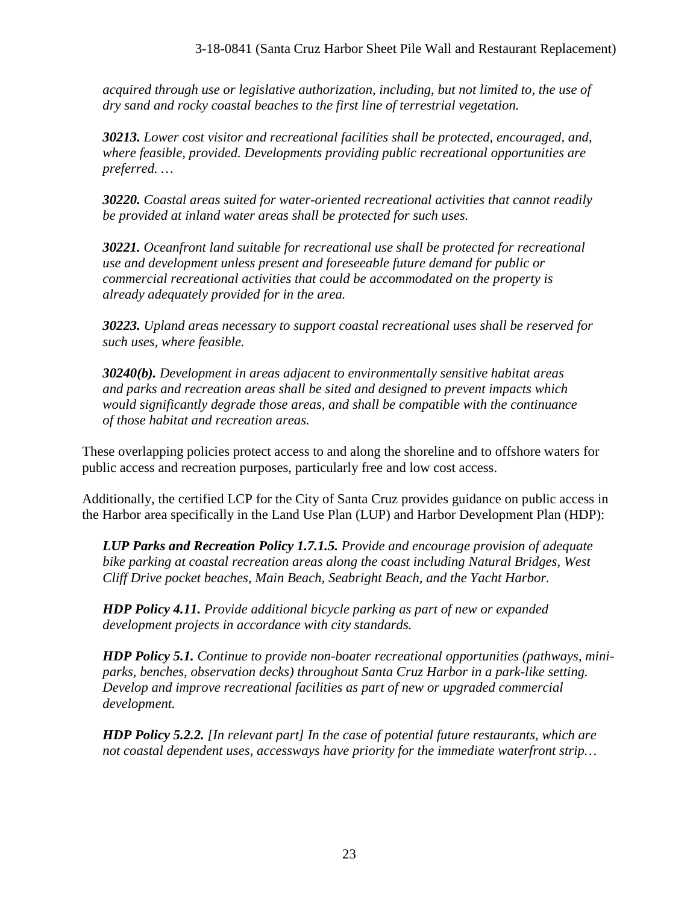*acquired through use or legislative authorization, including, but not limited to, the use of dry sand and rocky coastal beaches to the first line of terrestrial vegetation.* 

*30213. Lower cost visitor and recreational facilities shall be protected, encouraged, and, where feasible, provided. Developments providing public recreational opportunities are preferred. …*

*30220. Coastal areas suited for water-oriented recreational activities that cannot readily be provided at inland water areas shall be protected for such uses.* 

*30221. Oceanfront land suitable for recreational use shall be protected for recreational use and development unless present and foreseeable future demand for public or commercial recreational activities that could be accommodated on the property is already adequately provided for in the area.* 

*30223. Upland areas necessary to support coastal recreational uses shall be reserved for such uses, where feasible.* 

*30240(b). Development in areas adjacent to environmentally sensitive habitat areas and parks and recreation areas shall be sited and designed to prevent impacts which would significantly degrade those areas, and shall be compatible with the continuance of those habitat and recreation areas.*

These overlapping policies protect access to and along the shoreline and to offshore waters for public access and recreation purposes, particularly free and low cost access.

Additionally, the certified LCP for the City of Santa Cruz provides guidance on public access in the Harbor area specifically in the Land Use Plan (LUP) and Harbor Development Plan (HDP):

*LUP Parks and Recreation Policy 1.7.1.5. Provide and encourage provision of adequate bike parking at coastal recreation areas along the coast including Natural Bridges, West Cliff Drive pocket beaches, Main Beach, Seabright Beach, and the Yacht Harbor.* 

*HDP Policy 4.11. Provide additional bicycle parking as part of new or expanded development projects in accordance with city standards.* 

*HDP Policy 5.1. Continue to provide non-boater recreational opportunities (pathways, miniparks, benches, observation decks) throughout Santa Cruz Harbor in a park-like setting. Develop and improve recreational facilities as part of new or upgraded commercial development.*

*HDP Policy 5.2.2. [In relevant part] In the case of potential future restaurants, which are not coastal dependent uses, accessways have priority for the immediate waterfront strip…*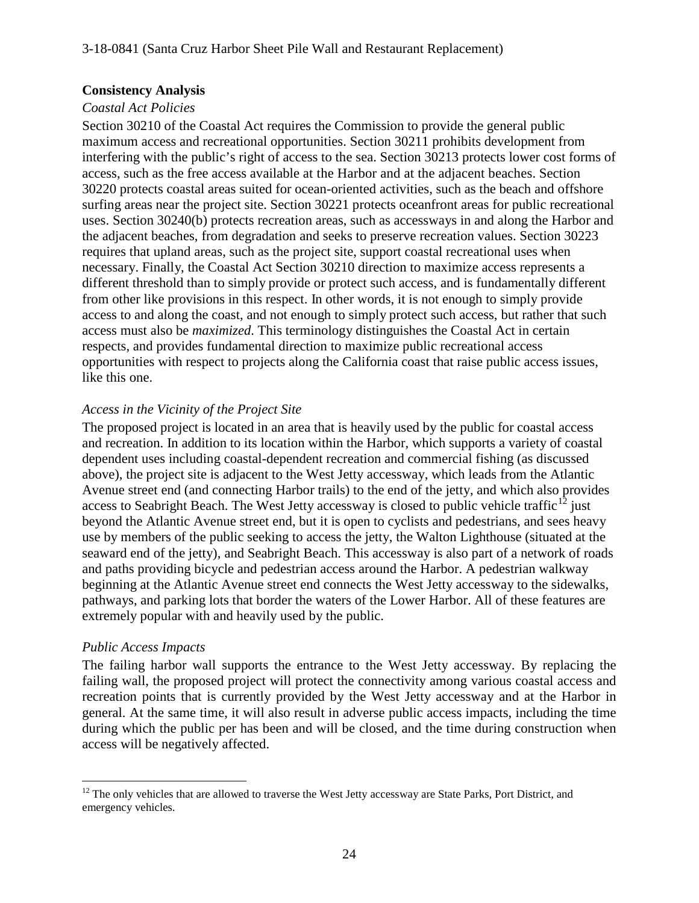#### **Consistency Analysis**

#### *Coastal Act Policies*

Section 30210 of the Coastal Act requires the Commission to provide the general public maximum access and recreational opportunities. Section 30211 prohibits development from interfering with the public's right of access to the sea. Section 30213 protects lower cost forms of access, such as the free access available at the Harbor and at the adjacent beaches. Section 30220 protects coastal areas suited for ocean-oriented activities, such as the beach and offshore surfing areas near the project site. Section 30221 protects oceanfront areas for public recreational uses. Section 30240(b) protects recreation areas, such as accessways in and along the Harbor and the adjacent beaches, from degradation and seeks to preserve recreation values. Section 30223 requires that upland areas, such as the project site, support coastal recreational uses when necessary. Finally, the Coastal Act Section 30210 direction to maximize access represents a different threshold than to simply provide or protect such access, and is fundamentally different from other like provisions in this respect. In other words, it is not enough to simply provide access to and along the coast, and not enough to simply protect such access, but rather that such access must also be *maximized*. This terminology distinguishes the Coastal Act in certain respects, and provides fundamental direction to maximize public recreational access opportunities with respect to projects along the California coast that raise public access issues, like this one.

#### *Access in the Vicinity of the Project Site*

The proposed project is located in an area that is heavily used by the public for coastal access and recreation. In addition to its location within the Harbor, which supports a variety of coastal dependent uses including coastal-dependent recreation and commercial fishing (as discussed above), the project site is adjacent to the West Jetty accessway, which leads from the Atlantic Avenue street end (and connecting Harbor trails) to the end of the jetty, and which also provides access to Seabright Beach. The West Jetty accessway is closed to public vehicle traffic<sup>[12](#page-23-0)</sup> just beyond the Atlantic Avenue street end, but it is open to cyclists and pedestrians, and sees heavy use by members of the public seeking to access the jetty, the Walton Lighthouse (situated at the seaward end of the jetty), and Seabright Beach. This accessway is also part of a network of roads and paths providing bicycle and pedestrian access around the Harbor. A pedestrian walkway beginning at the Atlantic Avenue street end connects the West Jetty accessway to the sidewalks, pathways, and parking lots that border the waters of the Lower Harbor. All of these features are extremely popular with and heavily used by the public.

#### *Public Access Impacts*

The failing harbor wall supports the entrance to the West Jetty accessway. By replacing the failing wall, the proposed project will protect the connectivity among various coastal access and recreation points that is currently provided by the West Jetty accessway and at the Harbor in general. At the same time, it will also result in adverse public access impacts, including the time during which the public per has been and will be closed, and the time during construction when access will be negatively affected.

<span id="page-23-0"></span> $\overline{a}$ <sup>12</sup> The only vehicles that are allowed to traverse the West Jetty accessway are State Parks, Port District, and emergency vehicles.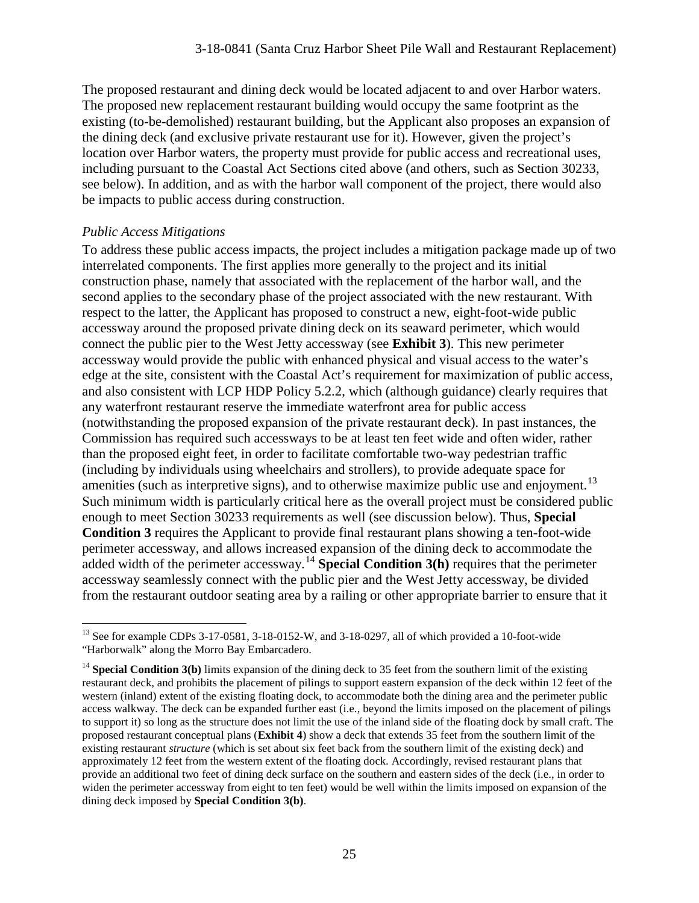The proposed restaurant and dining deck would be located adjacent to and over Harbor waters. The proposed new replacement restaurant building would occupy the same footprint as the existing (to-be-demolished) restaurant building, but the Applicant also proposes an expansion of the dining deck (and exclusive private restaurant use for it). However, given the project's location over Harbor waters, the property must provide for public access and recreational uses, including pursuant to the Coastal Act Sections cited above (and others, such as Section 30233, see below). In addition, and as with the harbor wall component of the project, there would also be impacts to public access during construction.

#### *Public Access Mitigations*

To address these public access impacts, the project includes a mitigation package made up of two interrelated components. The first applies more generally to the project and its initial construction phase, namely that associated with the replacement of the harbor wall, and the second applies to the secondary phase of the project associated with the new restaurant. With respect to the latter, the Applicant has proposed to construct a new, eight-foot-wide public accessway around the proposed private dining deck on its seaward perimeter, which would connect the public pier to the West Jetty accessway (see **Exhibit 3**). This new perimeter accessway would provide the public with enhanced physical and visual access to the water's edge at the site, consistent with the Coastal Act's requirement for maximization of public access, and also consistent with LCP HDP Policy 5.2.2, which (although guidance) clearly requires that any waterfront restaurant reserve the immediate waterfront area for public access (notwithstanding the proposed expansion of the private restaurant deck). In past instances, the Commission has required such accessways to be at least ten feet wide and often wider, rather than the proposed eight feet, in order to facilitate comfortable two-way pedestrian traffic (including by individuals using wheelchairs and strollers), to provide adequate space for amenities (such as interpretive signs), and to otherwise maximize public use and enjoyment.<sup>[13](#page-24-0)</sup> Such minimum width is particularly critical here as the overall project must be considered public enough to meet Section 30233 requirements as well (see discussion below). Thus, **Special Condition 3** requires the Applicant to provide final restaurant plans showing a ten-foot-wide perimeter accessway, and allows increased expansion of the dining deck to accommodate the added width of the perimeter accessway. [14](#page-24-1) **Special Condition 3(h)** requires that the perimeter accessway seamlessly connect with the public pier and the West Jetty accessway, be divided from the restaurant outdoor seating area by a railing or other appropriate barrier to ensure that it

<span id="page-24-0"></span> $\overline{a}$ <sup>13</sup> See for example CDPs 3-17-0581, 3-18-0152-W, and 3-18-0297, all of which provided a 10-foot-wide "Harborwalk" along the Morro Bay Embarcadero.

<span id="page-24-1"></span><sup>&</sup>lt;sup>14</sup> **Special Condition 3(b)** limits expansion of the dining deck to 35 feet from the southern limit of the existing restaurant deck, and prohibits the placement of pilings to support eastern expansion of the deck within 12 feet of the western (inland) extent of the existing floating dock, to accommodate both the dining area and the perimeter public access walkway. The deck can be expanded further east (i.e., beyond the limits imposed on the placement of pilings to support it) so long as the structure does not limit the use of the inland side of the floating dock by small craft. The proposed restaurant conceptual plans (**Exhibit 4**) show a deck that extends 35 feet from the southern limit of the existing restaurant *structure* (which is set about six feet back from the southern limit of the existing deck) and approximately 12 feet from the western extent of the floating dock. Accordingly, revised restaurant plans that provide an additional two feet of dining deck surface on the southern and eastern sides of the deck (i.e., in order to widen the perimeter accessway from eight to ten feet) would be well within the limits imposed on expansion of the dining deck imposed by **Special Condition 3(b)**.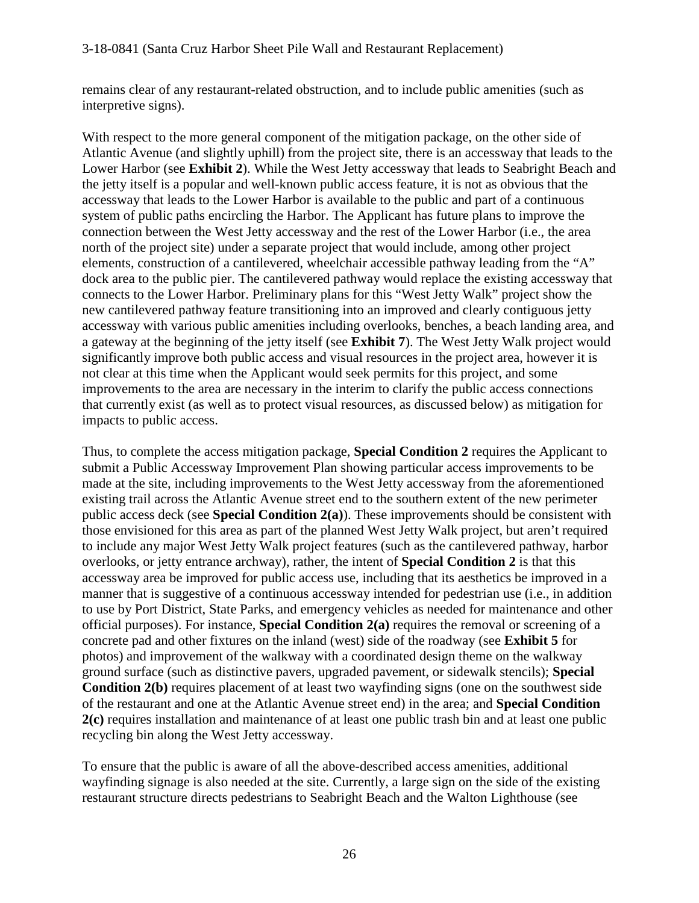remains clear of any restaurant-related obstruction, and to include public amenities (such as interpretive signs).

With respect to the more general component of the mitigation package, on the other side of Atlantic Avenue (and slightly uphill) from the project site, there is an accessway that leads to the Lower Harbor (see **Exhibit 2**). While the West Jetty accessway that leads to Seabright Beach and the jetty itself is a popular and well-known public access feature, it is not as obvious that the accessway that leads to the Lower Harbor is available to the public and part of a continuous system of public paths encircling the Harbor. The Applicant has future plans to improve the connection between the West Jetty accessway and the rest of the Lower Harbor (i.e., the area north of the project site) under a separate project that would include, among other project elements, construction of a cantilevered, wheelchair accessible pathway leading from the "A" dock area to the public pier. The cantilevered pathway would replace the existing accessway that connects to the Lower Harbor. Preliminary plans for this "West Jetty Walk" project show the new cantilevered pathway feature transitioning into an improved and clearly contiguous jetty accessway with various public amenities including overlooks, benches, a beach landing area, and a gateway at the beginning of the jetty itself (see **Exhibit 7**). The West Jetty Walk project would significantly improve both public access and visual resources in the project area, however it is not clear at this time when the Applicant would seek permits for this project, and some improvements to the area are necessary in the interim to clarify the public access connections that currently exist (as well as to protect visual resources, as discussed below) as mitigation for impacts to public access.

Thus, to complete the access mitigation package, **Special Condition 2** requires the Applicant to submit a Public Accessway Improvement Plan showing particular access improvements to be made at the site, including improvements to the West Jetty accessway from the aforementioned existing trail across the Atlantic Avenue street end to the southern extent of the new perimeter public access deck (see **Special Condition 2(a)**). These improvements should be consistent with those envisioned for this area as part of the planned West Jetty Walk project, but aren't required to include any major West Jetty Walk project features (such as the cantilevered pathway, harbor overlooks, or jetty entrance archway), rather, the intent of **Special Condition 2** is that this accessway area be improved for public access use, including that its aesthetics be improved in a manner that is suggestive of a continuous accessway intended for pedestrian use (i.e., in addition to use by Port District, State Parks, and emergency vehicles as needed for maintenance and other official purposes). For instance, **Special Condition 2(a)** requires the removal or screening of a concrete pad and other fixtures on the inland (west) side of the roadway (see **Exhibit 5** for photos) and improvement of the walkway with a coordinated design theme on the walkway ground surface (such as distinctive pavers, upgraded pavement, or sidewalk stencils); **Special Condition 2(b)** requires placement of at least two wayfinding signs (one on the southwest side of the restaurant and one at the Atlantic Avenue street end) in the area; and **Special Condition 2(c)** requires installation and maintenance of at least one public trash bin and at least one public recycling bin along the West Jetty accessway.

To ensure that the public is aware of all the above-described access amenities, additional wayfinding signage is also needed at the site. Currently, a large sign on the side of the existing restaurant structure directs pedestrians to Seabright Beach and the Walton Lighthouse (see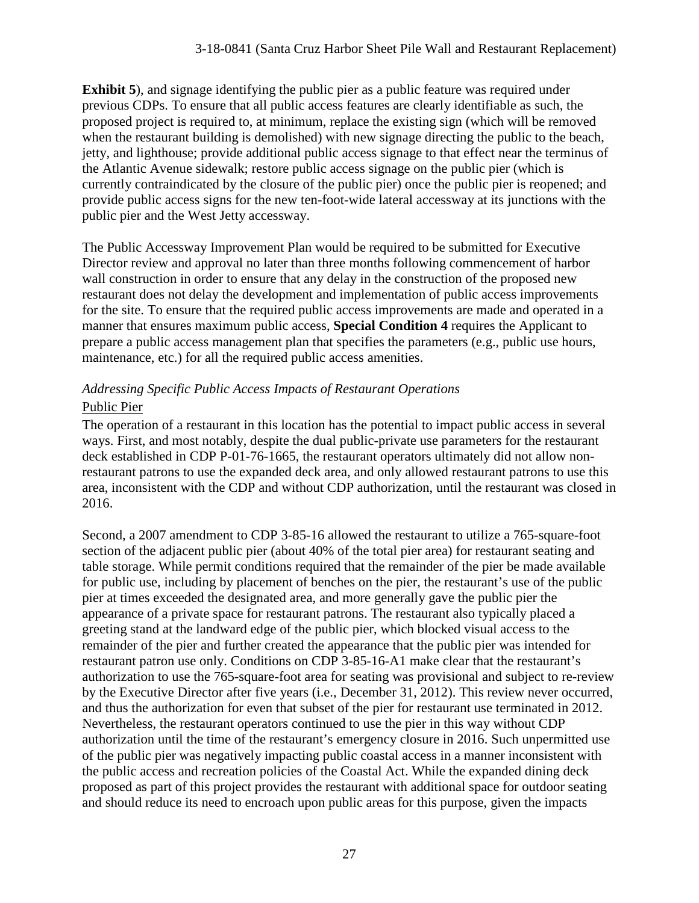**Exhibit 5**), and signage identifying the public pier as a public feature was required under previous CDPs. To ensure that all public access features are clearly identifiable as such, the proposed project is required to, at minimum, replace the existing sign (which will be removed when the restaurant building is demolished) with new signage directing the public to the beach, jetty, and lighthouse; provide additional public access signage to that effect near the terminus of the Atlantic Avenue sidewalk; restore public access signage on the public pier (which is currently contraindicated by the closure of the public pier) once the public pier is reopened; and provide public access signs for the new ten-foot-wide lateral accessway at its junctions with the public pier and the West Jetty accessway.

The Public Accessway Improvement Plan would be required to be submitted for Executive Director review and approval no later than three months following commencement of harbor wall construction in order to ensure that any delay in the construction of the proposed new restaurant does not delay the development and implementation of public access improvements for the site. To ensure that the required public access improvements are made and operated in a manner that ensures maximum public access, **Special Condition 4** requires the Applicant to prepare a public access management plan that specifies the parameters (e.g., public use hours, maintenance, etc.) for all the required public access amenities.

### *Addressing Specific Public Access Impacts of Restaurant Operations*  Public Pier

The operation of a restaurant in this location has the potential to impact public access in several ways. First, and most notably, despite the dual public-private use parameters for the restaurant deck established in CDP P-01-76-1665, the restaurant operators ultimately did not allow nonrestaurant patrons to use the expanded deck area, and only allowed restaurant patrons to use this area, inconsistent with the CDP and without CDP authorization, until the restaurant was closed in 2016.

Second, a 2007 amendment to CDP 3-85-16 allowed the restaurant to utilize a 765-square-foot section of the adjacent public pier (about 40% of the total pier area) for restaurant seating and table storage. While permit conditions required that the remainder of the pier be made available for public use, including by placement of benches on the pier, the restaurant's use of the public pier at times exceeded the designated area, and more generally gave the public pier the appearance of a private space for restaurant patrons. The restaurant also typically placed a greeting stand at the landward edge of the public pier, which blocked visual access to the remainder of the pier and further created the appearance that the public pier was intended for restaurant patron use only. Conditions on CDP 3-85-16-A1 make clear that the restaurant's authorization to use the 765-square-foot area for seating was provisional and subject to re-review by the Executive Director after five years (i.e., December 31, 2012). This review never occurred, and thus the authorization for even that subset of the pier for restaurant use terminated in 2012. Nevertheless, the restaurant operators continued to use the pier in this way without CDP authorization until the time of the restaurant's emergency closure in 2016. Such unpermitted use of the public pier was negatively impacting public coastal access in a manner inconsistent with the public access and recreation policies of the Coastal Act. While the expanded dining deck proposed as part of this project provides the restaurant with additional space for outdoor seating and should reduce its need to encroach upon public areas for this purpose, given the impacts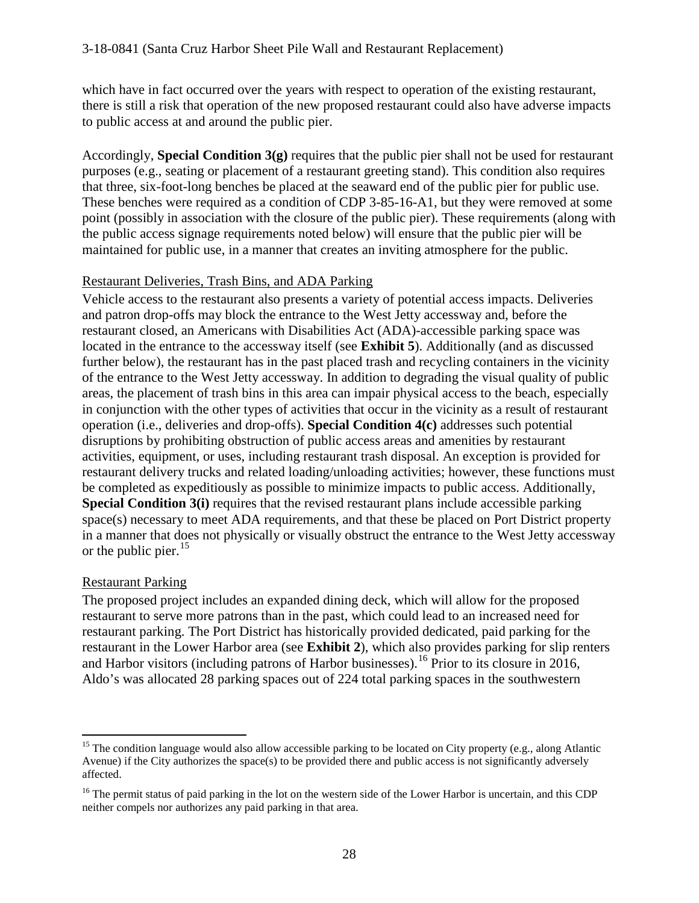which have in fact occurred over the years with respect to operation of the existing restaurant, there is still a risk that operation of the new proposed restaurant could also have adverse impacts to public access at and around the public pier.

Accordingly, **Special Condition 3(g)** requires that the public pier shall not be used for restaurant purposes (e.g., seating or placement of a restaurant greeting stand). This condition also requires that three, six-foot-long benches be placed at the seaward end of the public pier for public use. These benches were required as a condition of CDP 3-85-16-A1, but they were removed at some point (possibly in association with the closure of the public pier). These requirements (along with the public access signage requirements noted below) will ensure that the public pier will be maintained for public use, in a manner that creates an inviting atmosphere for the public.

#### Restaurant Deliveries, Trash Bins, and ADA Parking

Vehicle access to the restaurant also presents a variety of potential access impacts. Deliveries and patron drop-offs may block the entrance to the West Jetty accessway and, before the restaurant closed, an Americans with Disabilities Act (ADA)-accessible parking space was located in the entrance to the accessway itself (see **Exhibit 5**). Additionally (and as discussed further below), the restaurant has in the past placed trash and recycling containers in the vicinity of the entrance to the West Jetty accessway. In addition to degrading the visual quality of public areas, the placement of trash bins in this area can impair physical access to the beach, especially in conjunction with the other types of activities that occur in the vicinity as a result of restaurant operation (i.e., deliveries and drop-offs). **Special Condition 4(c)** addresses such potential disruptions by prohibiting obstruction of public access areas and amenities by restaurant activities, equipment, or uses, including restaurant trash disposal. An exception is provided for restaurant delivery trucks and related loading/unloading activities; however, these functions must be completed as expeditiously as possible to minimize impacts to public access. Additionally, **Special Condition 3(i)** requires that the revised restaurant plans include accessible parking space(s) necessary to meet ADA requirements, and that these be placed on Port District property in a manner that does not physically or visually obstruct the entrance to the West Jetty accessway or the public pier.  $15$ 

#### Restaurant Parking

The proposed project includes an expanded dining deck, which will allow for the proposed restaurant to serve more patrons than in the past, which could lead to an increased need for restaurant parking. The Port District has historically provided dedicated, paid parking for the restaurant in the Lower Harbor area (see **Exhibit 2**), which also provides parking for slip renters and Harbor visitors (including patrons of Harbor businesses).<sup>16</sup> Prior to its closure in 2016, Aldo's was allocated 28 parking spaces out of 224 total parking spaces in the southwestern

<span id="page-27-0"></span> $\overline{a}$ <sup>15</sup> The condition language would also allow accessible parking to be located on City property (e.g., along Atlantic Avenue) if the City authorizes the space(s) to be provided there and public access is not significantly adversely affected.

<span id="page-27-1"></span> $16$  The permit status of paid parking in the lot on the western side of the Lower Harbor is uncertain, and this CDP neither compels nor authorizes any paid parking in that area.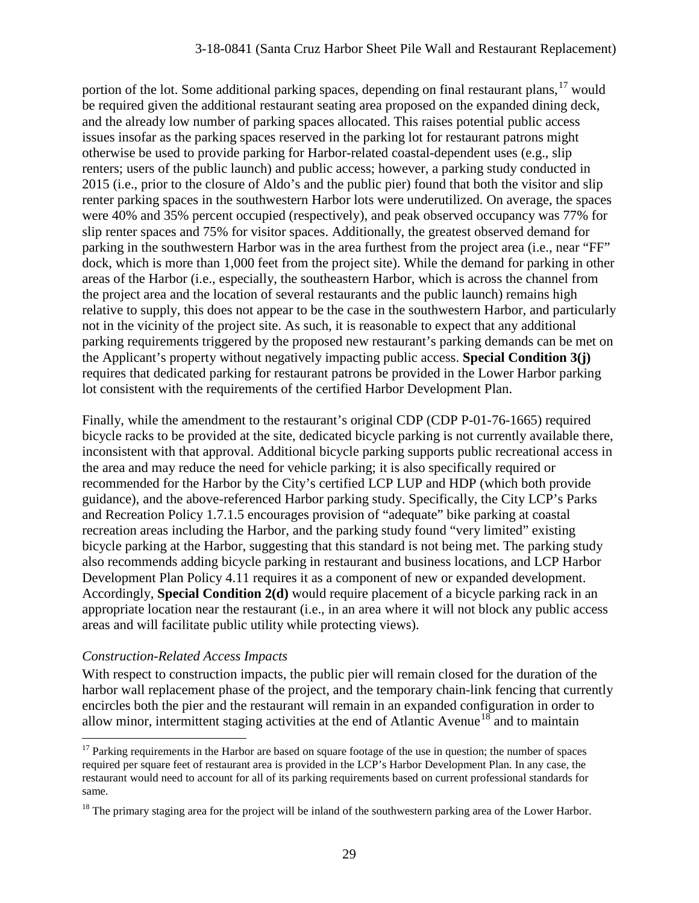portion of the lot. Some additional parking spaces, depending on final restaurant plans,  $17$  would be required given the additional restaurant seating area proposed on the expanded dining deck, and the already low number of parking spaces allocated. This raises potential public access issues insofar as the parking spaces reserved in the parking lot for restaurant patrons might otherwise be used to provide parking for Harbor-related coastal-dependent uses (e.g., slip renters; users of the public launch) and public access; however, a parking study conducted in 2015 (i.e., prior to the closure of Aldo's and the public pier) found that both the visitor and slip renter parking spaces in the southwestern Harbor lots were underutilized. On average, the spaces were 40% and 35% percent occupied (respectively), and peak observed occupancy was 77% for slip renter spaces and 75% for visitor spaces. Additionally, the greatest observed demand for parking in the southwestern Harbor was in the area furthest from the project area (i.e., near "FF" dock, which is more than 1,000 feet from the project site). While the demand for parking in other areas of the Harbor (i.e., especially, the southeastern Harbor, which is across the channel from the project area and the location of several restaurants and the public launch) remains high relative to supply, this does not appear to be the case in the southwestern Harbor, and particularly not in the vicinity of the project site. As such, it is reasonable to expect that any additional parking requirements triggered by the proposed new restaurant's parking demands can be met on the Applicant's property without negatively impacting public access. **Special Condition 3(j)** requires that dedicated parking for restaurant patrons be provided in the Lower Harbor parking lot consistent with the requirements of the certified Harbor Development Plan.

Finally, while the amendment to the restaurant's original CDP (CDP P-01-76-1665) required bicycle racks to be provided at the site, dedicated bicycle parking is not currently available there, inconsistent with that approval. Additional bicycle parking supports public recreational access in the area and may reduce the need for vehicle parking; it is also specifically required or recommended for the Harbor by the City's certified LCP LUP and HDP (which both provide guidance), and the above-referenced Harbor parking study. Specifically, the City LCP's Parks and Recreation Policy 1.7.1.5 encourages provision of "adequate" bike parking at coastal recreation areas including the Harbor, and the parking study found "very limited" existing bicycle parking at the Harbor, suggesting that this standard is not being met. The parking study also recommends adding bicycle parking in restaurant and business locations, and LCP Harbor Development Plan Policy 4.11 requires it as a component of new or expanded development. Accordingly, **Special Condition 2(d)** would require placement of a bicycle parking rack in an appropriate location near the restaurant (i.e., in an area where it will not block any public access areas and will facilitate public utility while protecting views).

#### *Construction-Related Access Impacts*

With respect to construction impacts, the public pier will remain closed for the duration of the harbor wall replacement phase of the project, and the temporary chain-link fencing that currently encircles both the pier and the restaurant will remain in an expanded configuration in order to allow minor, intermittent staging activities at the end of Atlantic Avenue<sup>18</sup> and to maintain

<span id="page-28-0"></span> $\overline{a}$ <sup>17</sup> Parking requirements in the Harbor are based on square footage of the use in question; the number of spaces required per square feet of restaurant area is provided in the LCP's Harbor Development Plan. In any case, the restaurant would need to account for all of its parking requirements based on current professional standards for same.

<span id="page-28-1"></span> $18$  The primary staging area for the project will be inland of the southwestern parking area of the Lower Harbor.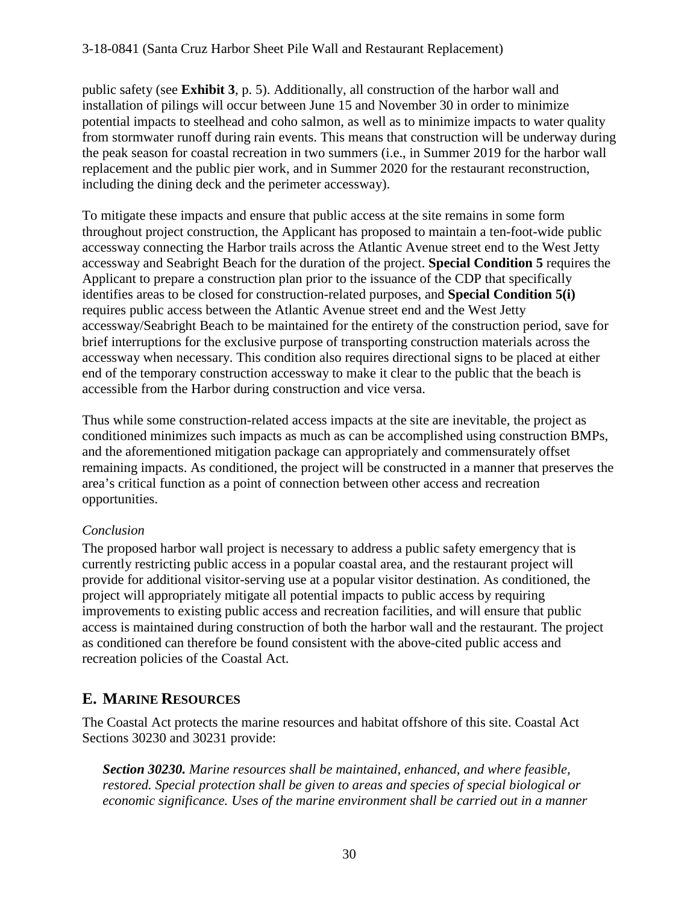public safety (see **Exhibit 3**, p. 5). Additionally, all construction of the harbor wall and installation of pilings will occur between June 15 and November 30 in order to minimize potential impacts to steelhead and coho salmon, as well as to minimize impacts to water quality from stormwater runoff during rain events. This means that construction will be underway during the peak season for coastal recreation in two summers (i.e., in Summer 2019 for the harbor wall replacement and the public pier work, and in Summer 2020 for the restaurant reconstruction, including the dining deck and the perimeter accessway).

To mitigate these impacts and ensure that public access at the site remains in some form throughout project construction, the Applicant has proposed to maintain a ten-foot-wide public accessway connecting the Harbor trails across the Atlantic Avenue street end to the West Jetty accessway and Seabright Beach for the duration of the project. **Special Condition 5** requires the Applicant to prepare a construction plan prior to the issuance of the CDP that specifically identifies areas to be closed for construction-related purposes, and **Special Condition 5(i)** requires public access between the Atlantic Avenue street end and the West Jetty accessway/Seabright Beach to be maintained for the entirety of the construction period, save for brief interruptions for the exclusive purpose of transporting construction materials across the accessway when necessary. This condition also requires directional signs to be placed at either end of the temporary construction accessway to make it clear to the public that the beach is accessible from the Harbor during construction and vice versa.

Thus while some construction-related access impacts at the site are inevitable, the project as conditioned minimizes such impacts as much as can be accomplished using construction BMPs, and the aforementioned mitigation package can appropriately and commensurately offset remaining impacts. As conditioned, the project will be constructed in a manner that preserves the area's critical function as a point of connection between other access and recreation opportunities.

#### *Conclusion*

The proposed harbor wall project is necessary to address a public safety emergency that is currently restricting public access in a popular coastal area, and the restaurant project will provide for additional visitor-serving use at a popular visitor destination. As conditioned, the project will appropriately mitigate all potential impacts to public access by requiring improvements to existing public access and recreation facilities, and will ensure that public access is maintained during construction of both the harbor wall and the restaurant. The project as conditioned can therefore be found consistent with the above-cited public access and recreation policies of the Coastal Act.

### **E. MARINE RESOURCES**

The Coastal Act protects the marine resources and habitat offshore of this site. Coastal Act Sections 30230 and 30231 provide:

*Section 30230. Marine resources shall be maintained, enhanced, and where feasible, restored. Special protection shall be given to areas and species of special biological or economic significance. Uses of the marine environment shall be carried out in a manner*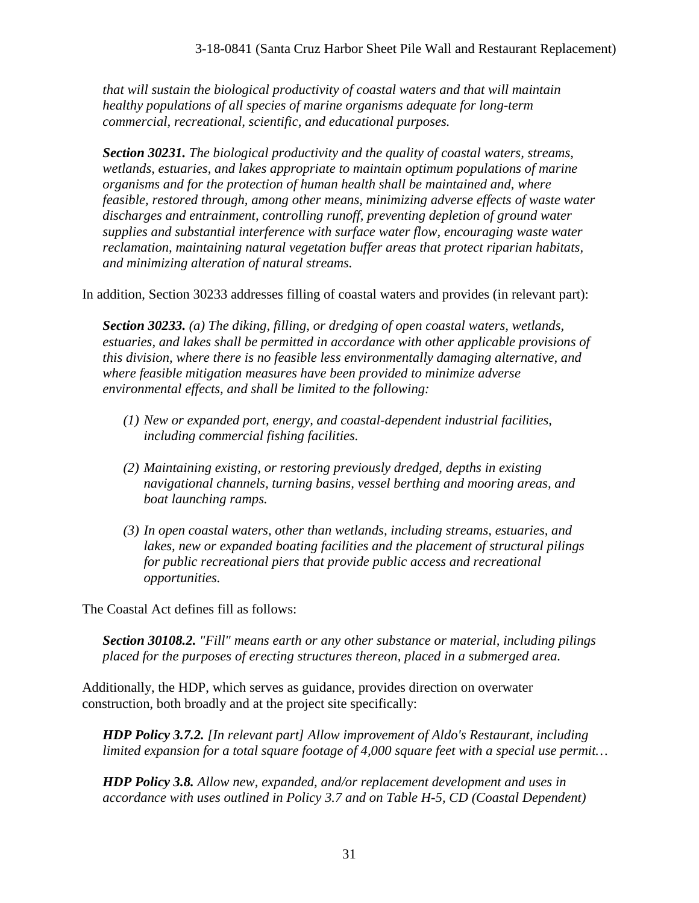*that will sustain the biological productivity of coastal waters and that will maintain healthy populations of all species of marine organisms adequate for long-term commercial, recreational, scientific, and educational purposes.* 

*Section 30231. The biological productivity and the quality of coastal waters, streams, wetlands, estuaries, and lakes appropriate to maintain optimum populations of marine organisms and for the protection of human health shall be maintained and, where feasible, restored through, among other means, minimizing adverse effects of waste water discharges and entrainment, controlling runoff, preventing depletion of ground water supplies and substantial interference with surface water flow, encouraging waste water reclamation, maintaining natural vegetation buffer areas that protect riparian habitats, and minimizing alteration of natural streams.* 

In addition, Section 30233 addresses filling of coastal waters and provides (in relevant part):

*Section 30233. (a) The diking, filling, or dredging of open coastal waters, wetlands, estuaries, and lakes shall be permitted in accordance with other applicable provisions of this division, where there is no feasible less environmentally damaging alternative, and where feasible mitigation measures have been provided to minimize adverse environmental effects, and shall be limited to the following:* 

- *(1) New or expanded port, energy, and coastal-dependent industrial facilities, including commercial fishing facilities.*
- *(2) Maintaining existing, or restoring previously dredged, depths in existing navigational channels, turning basins, vessel berthing and mooring areas, and boat launching ramps.*
- *(3) In open coastal waters, other than wetlands, including streams, estuaries, and lakes, new or expanded boating facilities and the placement of structural pilings for public recreational piers that provide public access and recreational opportunities.*

The Coastal Act defines fill as follows:

*Section 30108.2. "Fill" means earth or any other substance or material, including pilings placed for the purposes of erecting structures thereon, placed in a submerged area.* 

Additionally, the HDP, which serves as guidance, provides direction on overwater construction, both broadly and at the project site specifically:

*HDP Policy 3.7.2. [In relevant part] Allow improvement of Aldo's Restaurant, including limited expansion for a total square footage of 4,000 square feet with a special use permit…* 

*HDP Policy 3.8. Allow new, expanded, and/or replacement development and uses in accordance with uses outlined in Policy 3.7 and on Table H-5, CD (Coastal Dependent)*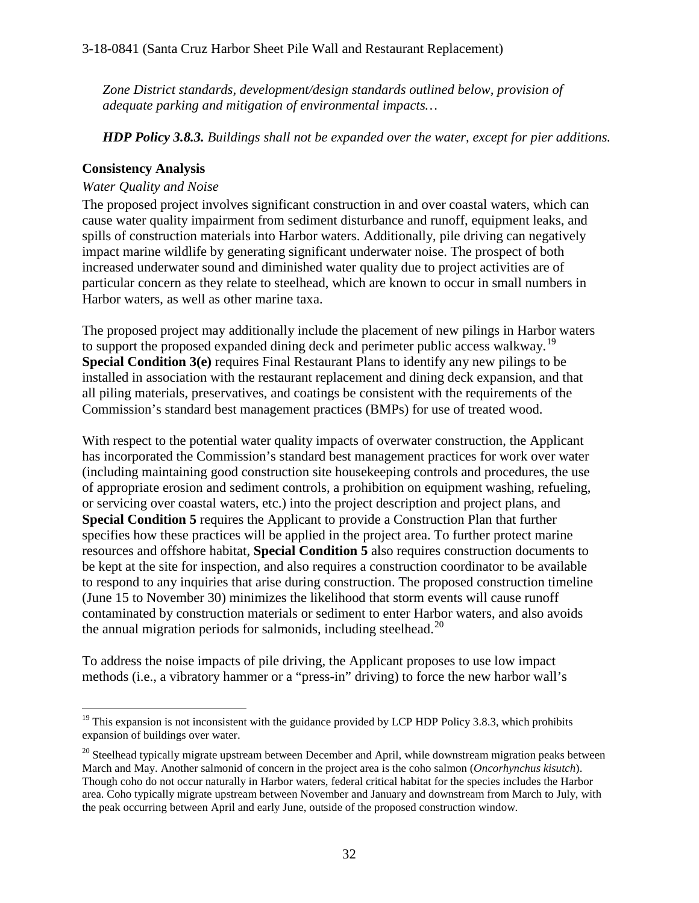*Zone District standards, development/design standards outlined below, provision of adequate parking and mitigation of environmental impacts…* 

*HDP Policy 3.8.3. Buildings shall not be expanded over the water, except for pier additions.* 

#### **Consistency Analysis**

#### *Water Quality and Noise*

The proposed project involves significant construction in and over coastal waters, which can cause water quality impairment from sediment disturbance and runoff, equipment leaks, and spills of construction materials into Harbor waters. Additionally, pile driving can negatively impact marine wildlife by generating significant underwater noise. The prospect of both increased underwater sound and diminished water quality due to project activities are of particular concern as they relate to steelhead, which are known to occur in small numbers in Harbor waters, as well as other marine taxa.

The proposed project may additionally include the placement of new pilings in Harbor waters to support the proposed expanded dining deck and perimeter public access walkway.<sup>[19](#page-31-0)</sup> **Special Condition 3(e)** requires Final Restaurant Plans to identify any new pilings to be installed in association with the restaurant replacement and dining deck expansion, and that all piling materials, preservatives, and coatings be consistent with the requirements of the Commission's standard best management practices (BMPs) for use of treated wood.

With respect to the potential water quality impacts of overwater construction, the Applicant has incorporated the Commission's standard best management practices for work over water (including maintaining good construction site housekeeping controls and procedures, the use of appropriate erosion and sediment controls, a prohibition on equipment washing, refueling, or servicing over coastal waters, etc.) into the project description and project plans, and **Special Condition 5** requires the Applicant to provide a Construction Plan that further specifies how these practices will be applied in the project area. To further protect marine resources and offshore habitat, **Special Condition 5** also requires construction documents to be kept at the site for inspection, and also requires a construction coordinator to be available to respond to any inquiries that arise during construction. The proposed construction timeline (June 15 to November 30) minimizes the likelihood that storm events will cause runoff contaminated by construction materials or sediment to enter Harbor waters, and also avoids the annual migration periods for salmonids, including steelhead.<sup>[20](#page-31-1)</sup>

To address the noise impacts of pile driving, the Applicant proposes to use low impact methods (i.e., a vibratory hammer or a "press-in" driving) to force the new harbor wall's

<span id="page-31-0"></span> $\overline{a}$  $19$  This expansion is not inconsistent with the guidance provided by LCP HDP Policy 3.8.3, which prohibits expansion of buildings over water.

<span id="page-31-1"></span> $20$  Steelhead typically migrate upstream between December and April, while downstream migration peaks between March and May. Another salmonid of concern in the project area is the coho salmon (*Oncorhynchus kisutch*). Though coho do not occur naturally in Harbor waters, federal critical habitat for the species includes the Harbor area. Coho typically migrate upstream between November and January and downstream from March to July, with the peak occurring between April and early June, outside of the proposed construction window.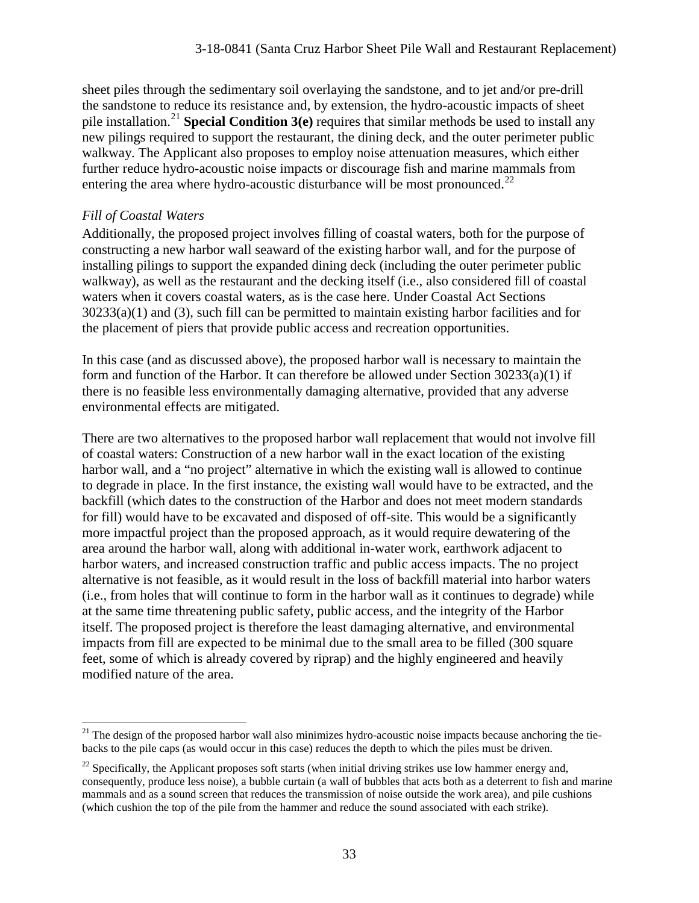sheet piles through the sedimentary soil overlaying the sandstone, and to jet and/or pre-drill the sandstone to reduce its resistance and, by extension, the hydro-acoustic impacts of sheet pile installation.<sup>[21](#page-32-0)</sup> **Special Condition 3(e)** requires that similar methods be used to install any new pilings required to support the restaurant, the dining deck, and the outer perimeter public walkway. The Applicant also proposes to employ noise attenuation measures, which either further reduce hydro-acoustic noise impacts or discourage fish and marine mammals from entering the area where hydro-acoustic disturbance will be most pronounced.<sup>[22](#page-32-1)</sup>

#### *Fill of Coastal Waters*

Additionally, the proposed project involves filling of coastal waters, both for the purpose of constructing a new harbor wall seaward of the existing harbor wall, and for the purpose of installing pilings to support the expanded dining deck (including the outer perimeter public walkway), as well as the restaurant and the decking itself (i.e., also considered fill of coastal waters when it covers coastal waters, as is the case here. Under Coastal Act Sections  $30233(a)(1)$  and (3), such fill can be permitted to maintain existing harbor facilities and for the placement of piers that provide public access and recreation opportunities.

In this case (and as discussed above), the proposed harbor wall is necessary to maintain the form and function of the Harbor. It can therefore be allowed under Section  $30233(a)(1)$  if there is no feasible less environmentally damaging alternative, provided that any adverse environmental effects are mitigated.

There are two alternatives to the proposed harbor wall replacement that would not involve fill of coastal waters: Construction of a new harbor wall in the exact location of the existing harbor wall, and a "no project" alternative in which the existing wall is allowed to continue to degrade in place. In the first instance, the existing wall would have to be extracted, and the backfill (which dates to the construction of the Harbor and does not meet modern standards for fill) would have to be excavated and disposed of off-site. This would be a significantly more impactful project than the proposed approach, as it would require dewatering of the area around the harbor wall, along with additional in-water work, earthwork adjacent to harbor waters, and increased construction traffic and public access impacts. The no project alternative is not feasible, as it would result in the loss of backfill material into harbor waters (i.e., from holes that will continue to form in the harbor wall as it continues to degrade) while at the same time threatening public safety, public access, and the integrity of the Harbor itself. The proposed project is therefore the least damaging alternative, and environmental impacts from fill are expected to be minimal due to the small area to be filled (300 square feet, some of which is already covered by riprap) and the highly engineered and heavily modified nature of the area.

<span id="page-32-0"></span> $\overline{a}$ <sup>21</sup> The design of the proposed harbor wall also minimizes hydro-acoustic noise impacts because anchoring the tiebacks to the pile caps (as would occur in this case) reduces the depth to which the piles must be driven.

<span id="page-32-1"></span> $^{22}$  Specifically, the Applicant proposes soft starts (when initial driving strikes use low hammer energy and, consequently, produce less noise), a bubble curtain (a wall of bubbles that acts both as a deterrent to fish and marine mammals and as a sound screen that reduces the transmission of noise outside the work area), and pile cushions (which cushion the top of the pile from the hammer and reduce the sound associated with each strike).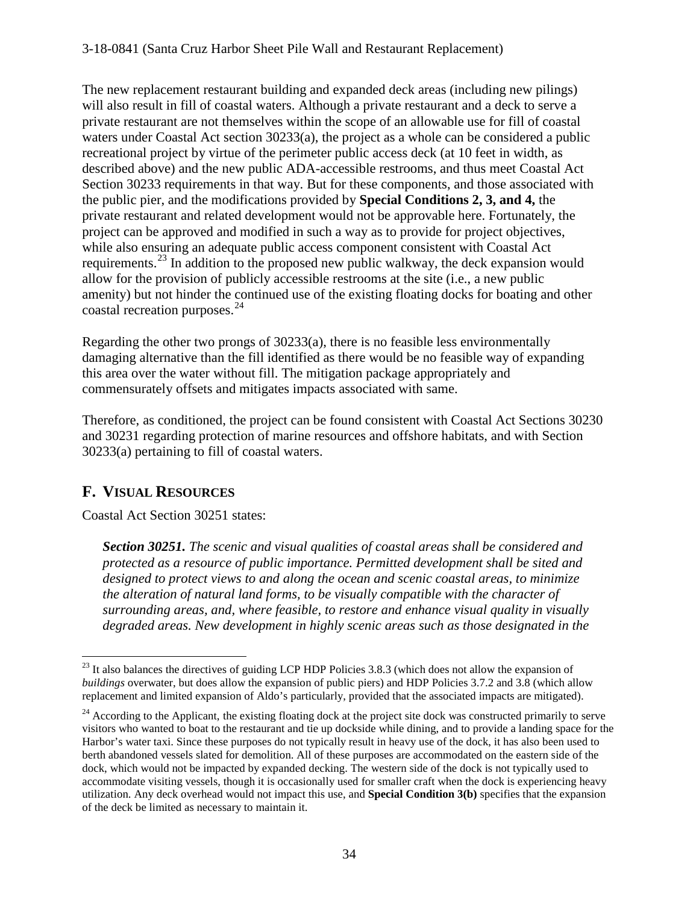#### 3-18-0841 (Santa Cruz Harbor Sheet Pile Wall and Restaurant Replacement)

The new replacement restaurant building and expanded deck areas (including new pilings) will also result in fill of coastal waters. Although a private restaurant and a deck to serve a private restaurant are not themselves within the scope of an allowable use for fill of coastal waters under Coastal Act section 30233(a), the project as a whole can be considered a public recreational project by virtue of the perimeter public access deck (at 10 feet in width, as described above) and the new public ADA-accessible restrooms, and thus meet Coastal Act Section 30233 requirements in that way. But for these components, and those associated with the public pier, and the modifications provided by **Special Conditions 2, 3, and 4,** the private restaurant and related development would not be approvable here. Fortunately, the project can be approved and modified in such a way as to provide for project objectives, while also ensuring an adequate public access component consistent with Coastal Act requirements.<sup>[23](#page-33-0)</sup> In addition to the proposed new public walkway, the deck expansion would allow for the provision of publicly accessible restrooms at the site (i.e., a new public amenity) but not hinder the continued use of the existing floating docks for boating and other coastal recreation purposes.  $24$ 

Regarding the other two prongs of 30233(a), there is no feasible less environmentally damaging alternative than the fill identified as there would be no feasible way of expanding this area over the water without fill. The mitigation package appropriately and commensurately offsets and mitigates impacts associated with same.

Therefore, as conditioned, the project can be found consistent with Coastal Act Sections 30230 and 30231 regarding protection of marine resources and offshore habitats, and with Section 30233(a) pertaining to fill of coastal waters.

### **F. VISUAL RESOURCES**

Coastal Act Section 30251 states:

*Section 30251. The scenic and visual qualities of coastal areas shall be considered and protected as a resource of public importance. Permitted development shall be sited and designed to protect views to and along the ocean and scenic coastal areas, to minimize the alteration of natural land forms, to be visually compatible with the character of surrounding areas, and, where feasible, to restore and enhance visual quality in visually degraded areas. New development in highly scenic areas such as those designated in the* 

<span id="page-33-0"></span> $\overline{a}$  $^{23}$  It also balances the directives of guiding LCP HDP Policies 3.8.3 (which does not allow the expansion of *buildings* overwater, but does allow the expansion of public piers) and HDP Policies 3.7.2 and 3.8 (which allow replacement and limited expansion of Aldo's particularly, provided that the associated impacts are mitigated).

<span id="page-33-1"></span> $^{24}$  According to the Applicant, the existing floating dock at the project site dock was constructed primarily to serve visitors who wanted to boat to the restaurant and tie up dockside while dining, and to provide a landing space for the Harbor's water taxi. Since these purposes do not typically result in heavy use of the dock, it has also been used to berth abandoned vessels slated for demolition. All of these purposes are accommodated on the eastern side of the dock, which would not be impacted by expanded decking. The western side of the dock is not typically used to accommodate visiting vessels, though it is occasionally used for smaller craft when the dock is experiencing heavy utilization. Any deck overhead would not impact this use, and **Special Condition 3(b)** specifies that the expansion of the deck be limited as necessary to maintain it.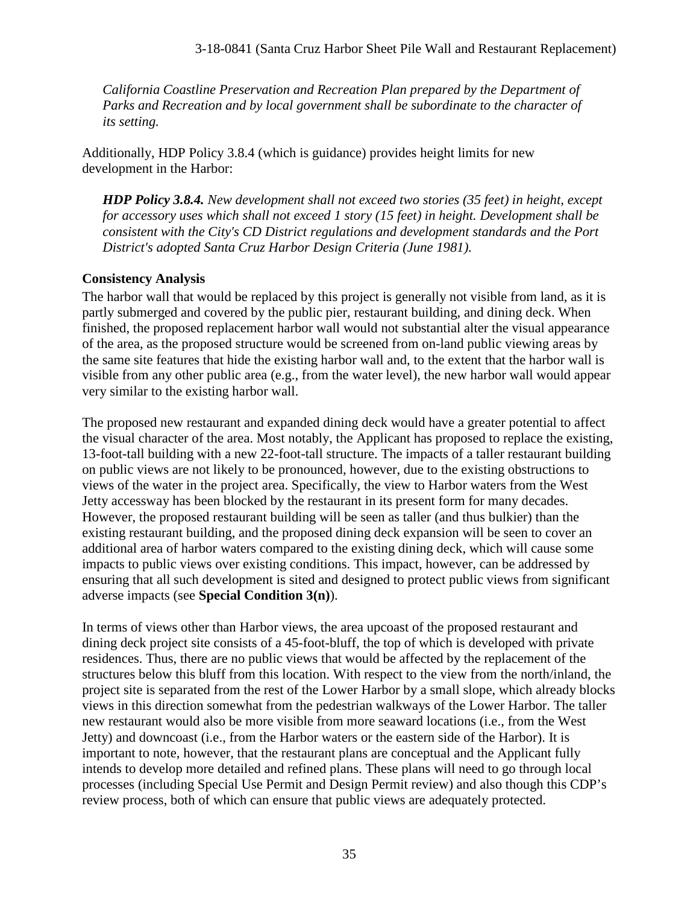*California Coastline Preservation and Recreation Plan prepared by the Department of Parks and Recreation and by local government shall be subordinate to the character of its setting.*

Additionally, HDP Policy 3.8.4 (which is guidance) provides height limits for new development in the Harbor:

*HDP Policy 3.8.4. New development shall not exceed two stories (35 feet) in height, except for accessory uses which shall not exceed 1 story (15 feet) in height. Development shall be consistent with the City's CD District regulations and development standards and the Port District's adopted Santa Cruz Harbor Design Criteria (June 1981).* 

### **Consistency Analysis**

The harbor wall that would be replaced by this project is generally not visible from land, as it is partly submerged and covered by the public pier, restaurant building, and dining deck. When finished, the proposed replacement harbor wall would not substantial alter the visual appearance of the area, as the proposed structure would be screened from on-land public viewing areas by the same site features that hide the existing harbor wall and, to the extent that the harbor wall is visible from any other public area (e.g., from the water level), the new harbor wall would appear very similar to the existing harbor wall.

The proposed new restaurant and expanded dining deck would have a greater potential to affect the visual character of the area. Most notably, the Applicant has proposed to replace the existing, 13-foot-tall building with a new 22-foot-tall structure. The impacts of a taller restaurant building on public views are not likely to be pronounced, however, due to the existing obstructions to views of the water in the project area. Specifically, the view to Harbor waters from the West Jetty accessway has been blocked by the restaurant in its present form for many decades. However, the proposed restaurant building will be seen as taller (and thus bulkier) than the existing restaurant building, and the proposed dining deck expansion will be seen to cover an additional area of harbor waters compared to the existing dining deck, which will cause some impacts to public views over existing conditions. This impact, however, can be addressed by ensuring that all such development is sited and designed to protect public views from significant adverse impacts (see **Special Condition 3(n)**).

In terms of views other than Harbor views, the area upcoast of the proposed restaurant and dining deck project site consists of a 45-foot-bluff, the top of which is developed with private residences. Thus, there are no public views that would be affected by the replacement of the structures below this bluff from this location. With respect to the view from the north/inland, the project site is separated from the rest of the Lower Harbor by a small slope, which already blocks views in this direction somewhat from the pedestrian walkways of the Lower Harbor. The taller new restaurant would also be more visible from more seaward locations (i.e., from the West Jetty) and downcoast (i.e., from the Harbor waters or the eastern side of the Harbor). It is important to note, however, that the restaurant plans are conceptual and the Applicant fully intends to develop more detailed and refined plans. These plans will need to go through local processes (including Special Use Permit and Design Permit review) and also though this CDP's review process, both of which can ensure that public views are adequately protected.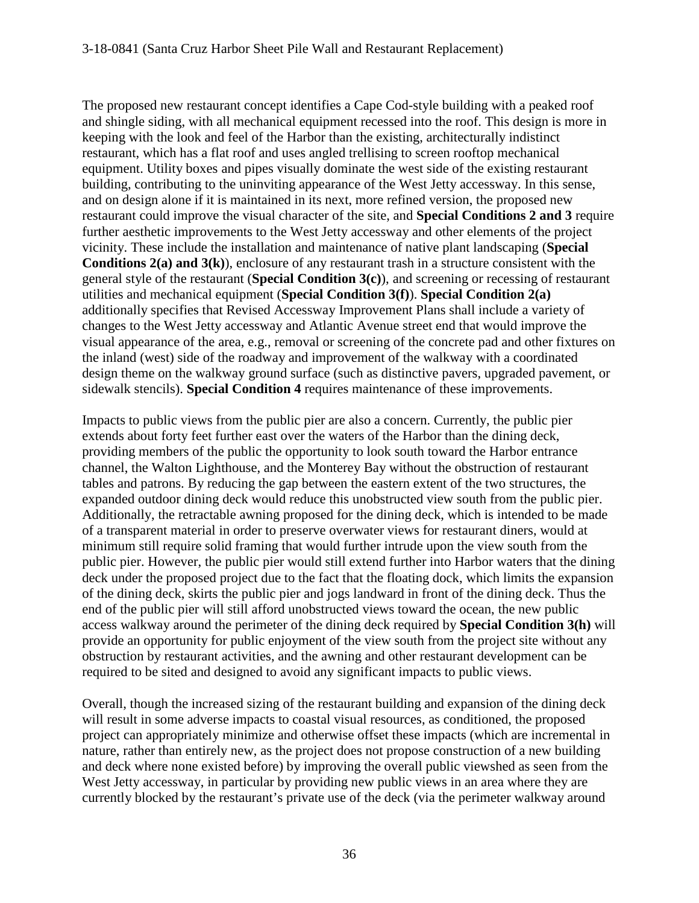The proposed new restaurant concept identifies a Cape Cod-style building with a peaked roof and shingle siding, with all mechanical equipment recessed into the roof. This design is more in keeping with the look and feel of the Harbor than the existing, architecturally indistinct restaurant, which has a flat roof and uses angled trellising to screen rooftop mechanical equipment. Utility boxes and pipes visually dominate the west side of the existing restaurant building, contributing to the uninviting appearance of the West Jetty accessway. In this sense, and on design alone if it is maintained in its next, more refined version, the proposed new restaurant could improve the visual character of the site, and **Special Conditions 2 and 3** require further aesthetic improvements to the West Jetty accessway and other elements of the project vicinity. These include the installation and maintenance of native plant landscaping (**Special Conditions 2(a) and 3(k)**), enclosure of any restaurant trash in a structure consistent with the general style of the restaurant (**Special Condition 3(c)**), and screening or recessing of restaurant utilities and mechanical equipment (**Special Condition 3(f)**). **Special Condition 2(a)** additionally specifies that Revised Accessway Improvement Plans shall include a variety of changes to the West Jetty accessway and Atlantic Avenue street end that would improve the visual appearance of the area, e.g., removal or screening of the concrete pad and other fixtures on the inland (west) side of the roadway and improvement of the walkway with a coordinated design theme on the walkway ground surface (such as distinctive pavers, upgraded pavement, or sidewalk stencils). **Special Condition 4** requires maintenance of these improvements.

Impacts to public views from the public pier are also a concern. Currently, the public pier extends about forty feet further east over the waters of the Harbor than the dining deck, providing members of the public the opportunity to look south toward the Harbor entrance channel, the Walton Lighthouse, and the Monterey Bay without the obstruction of restaurant tables and patrons. By reducing the gap between the eastern extent of the two structures, the expanded outdoor dining deck would reduce this unobstructed view south from the public pier. Additionally, the retractable awning proposed for the dining deck, which is intended to be made of a transparent material in order to preserve overwater views for restaurant diners, would at minimum still require solid framing that would further intrude upon the view south from the public pier. However, the public pier would still extend further into Harbor waters that the dining deck under the proposed project due to the fact that the floating dock, which limits the expansion of the dining deck, skirts the public pier and jogs landward in front of the dining deck. Thus the end of the public pier will still afford unobstructed views toward the ocean, the new public access walkway around the perimeter of the dining deck required by **Special Condition 3(h)** will provide an opportunity for public enjoyment of the view south from the project site without any obstruction by restaurant activities, and the awning and other restaurant development can be required to be sited and designed to avoid any significant impacts to public views.

Overall, though the increased sizing of the restaurant building and expansion of the dining deck will result in some adverse impacts to coastal visual resources, as conditioned, the proposed project can appropriately minimize and otherwise offset these impacts (which are incremental in nature, rather than entirely new, as the project does not propose construction of a new building and deck where none existed before) by improving the overall public viewshed as seen from the West Jetty accessway, in particular by providing new public views in an area where they are currently blocked by the restaurant's private use of the deck (via the perimeter walkway around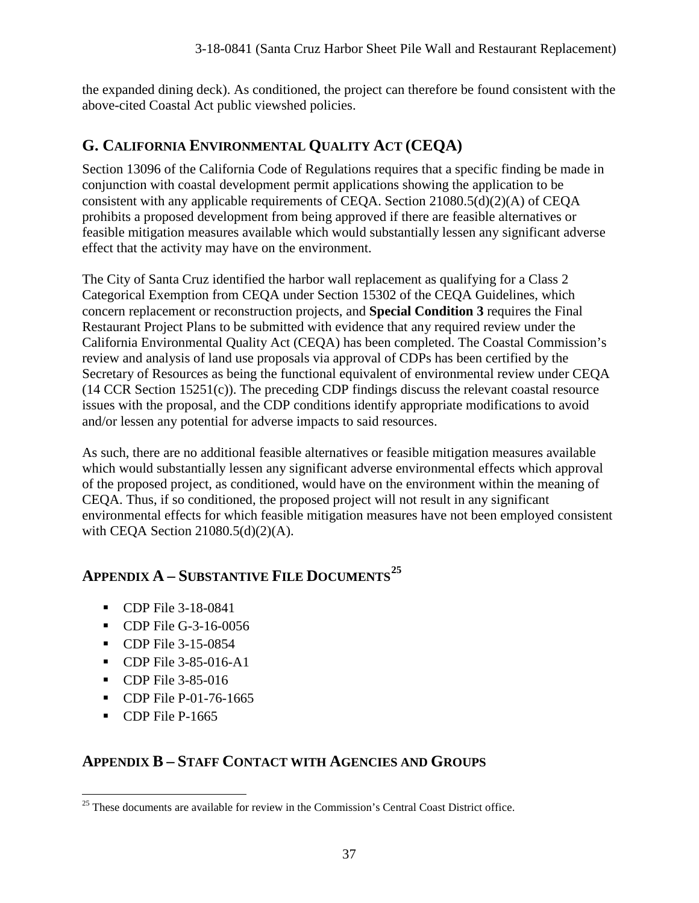the expanded dining deck). As conditioned, the project can therefore be found consistent with the above-cited Coastal Act public viewshed policies.

# **G. CALIFORNIA ENVIRONMENTAL QUALITY ACT (CEQA)**

Section 13096 of the California Code of Regulations requires that a specific finding be made in conjunction with coastal development permit applications showing the application to be consistent with any applicable requirements of CEQA. Section 21080.5(d)(2)(A) of CEQA prohibits a proposed development from being approved if there are feasible alternatives or feasible mitigation measures available which would substantially lessen any significant adverse effect that the activity may have on the environment.

The City of Santa Cruz identified the harbor wall replacement as qualifying for a Class 2 Categorical Exemption from CEQA under Section 15302 of the CEQA Guidelines, which concern replacement or reconstruction projects, and **Special Condition 3** requires the Final Restaurant Project Plans to be submitted with evidence that any required review under the California Environmental Quality Act (CEQA) has been completed. The Coastal Commission's review and analysis of land use proposals via approval of CDPs has been certified by the Secretary of Resources as being the functional equivalent of environmental review under CEQA (14 CCR Section 15251(c)). The preceding CDP findings discuss the relevant coastal resource issues with the proposal, and the CDP conditions identify appropriate modifications to avoid and/or lessen any potential for adverse impacts to said resources.

As such, there are no additional feasible alternatives or feasible mitigation measures available which would substantially lessen any significant adverse environmental effects which approval of the proposed project, as conditioned, would have on the environment within the meaning of CEQA. Thus, if so conditioned, the proposed project will not result in any significant environmental effects for which feasible mitigation measures have not been employed consistent with CEQA Section 21080.5(d)(2)(A).

# **APPENDIX A – SUBSTANTIVE FILE DOCUMENTS[25](#page-36-0)**

- **CDP** File 3-18-0841
- **CDP** File G-3-16-0056
- **CDP** File 3-15-0854
- **CDP** File 3-85-016-A1
- **CDP** File 3-85-016
- **CDP** File P-01-76-1665
- CDP File P-1665

### **APPENDIX B – STAFF CONTACT WITH AGENCIES AND GROUPS**

<span id="page-36-0"></span> $\overline{a}$  $25$  These documents are available for review in the Commission's Central Coast District office.